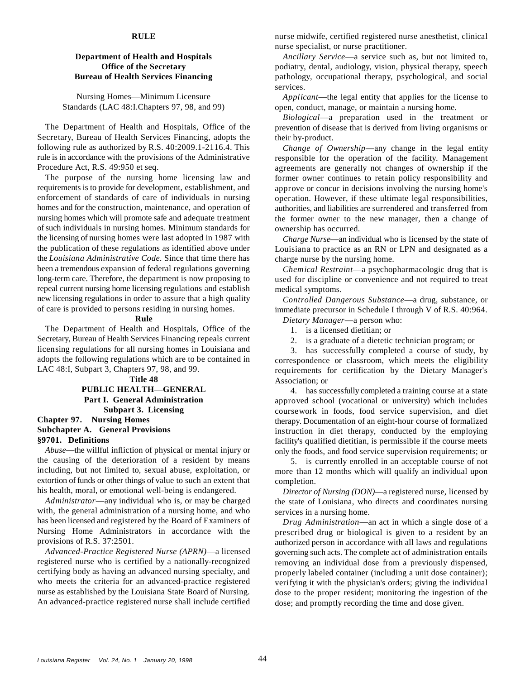#### **RULE**

Nursing Homes— Minimum Licensure Standards (LAC 48:I.Chapters 97, 98, and 99)

The Department of Health and Hospitals, Office of the Secretary, Bureau of Health Services Financing, adopts the following rule as authorized by R.S. 40:2009.1-2116.4. This rule is in accordance with the provisions of the Administrative Procedure Act, R.S. 49:950 et seq.

The purpose of the nursing home licensing law and requirements is to provide for development, establishment, and enforcement of standards of care of individuals in nursing homes and for the construction, maintenance, and operation of nursing homes which will promote safe and adequate treatment of such individuals in nursing homes. Minimum standards for the licensing of nursing homes were last adopted in 1987 with the publication of these regulations as identified above under the *Louisiana Administrative Code.* Since that time there has been a tremendous expansion of federal regulations governing long-term care. Therefore, the department is now proposing to repeal current nursing home licensing regulations and establish new licensing regulations in order to assure that a high quality of care is provided to persons residing in nursing homes.

#### **Rule**

The Department of Health and Hospitals, Office of the Secretary, Bureau of Health Services Financing repeals current licensing regulations for all nursing homes in Louisiana and adopts the following regulations which are to be contained in LAC 48:I, Subpart 3, Chapters 97, 98, and 99.

**Title 48 PUBLIC HEALTH— GENERAL Part I. General Administration Subpart 3. Licensing Chapter 97. Nursing Homes Subchapter A. General Provisions §9701. Definitions**

*Abuse*— the willful infliction of physical or mental injury or the causing of the deterioration of a resident by means including, but not limited to, sexual abuse, exploitation, or extortion of funds or other things of value to such an extent that his health, moral, or emotional well-being is endangered.

*Administrator*— any individual who is, or may be charged with, the general administration of a nursing home, and who has been licensed and registered by the Board of Examiners of Nursing Home Administrators in accordance with the provisions of R.S. 37:2501.

*Advanced-Practice Registered Nurse (APRN)*— a licensed registered nurse who is certified by a nationally-recognized certifying body as having an advanced nursing specialty, and who meets the criteria for an advanced-practice registered nurse as established by the Louisiana State Board of Nursing. An advanced-practice registered nurse shall include certified

nurse midwife, certified registered nurse anesthetist, clinical nurse specialist, or nurse practitioner.

**Department of Health and Hospitals** *Ancillary Service*—a service such as, but not limited to, **Office of the Secretary podiatry, dental, audiology, vision, physical therapy, speech Bureau of Health Services Financing pathology, occupational therapy, psychological, and social** services.

> *Applicant*— the legal entity that applies for the license to open, conduct, manage, or maintain a nursing home.

> *Biological*— a preparation used in the treatment or prevention of disease that is derived from living organisms or their by-product.

> *Change of Ownership*— any change in the legal entity responsible for the operation of the facility. Management agreements are generally not changes of ownership if the former owner continues to retain policy responsibility and approve or concur in decisions involving the nursing home's operation. However, if these ultimate legal responsibilities, authorities, and liabilities are surrendered and transferred from the former owner to the new manager, then a change of ownership has occurred.

> *Charge Nurse*— an individual who is licensed by the state of Louisiana to practice as an RN or LPN and designated as a charge nurse by the nursing home.

> *Chemical Restraint*— a psychopharmacologic drug that is used for discipline or convenience and not required to treat medical symptoms.

> *Controlled Dangerous Substance*— a drug, substance, or immediate precursor in Schedule I through V of R.S. 40:964. *Dietary Manager*— a person who:

1. is a licensed dietitian; or

2. is a graduate of a dietetic technician program; or

3. has successfully completed a course of study, by correspondence or classroom, which meets the eligibility requirements for certification by the Dietary Manager's Association; or

4. has successfully completed a training course at a state approved school (vocational or university) which includes coursework in foods, food service supervision, and diet therapy. Documentation of an eight-hour course of formalized instruction in diet therapy, conducted by the employing facility's qualified dietitian, is permissible if the course meets only the foods, and food service supervision requirements; or

5. is currently enrolled in an acceptable course of not more than 12 months which will qualify an individual upon completion.

*Director of Nursing (DON)*— a registered nurse, licensed by the state of Louisiana, who directs and coordinates nursing services in a nursing home.

*Drug Administration*— an act in which a single dose of a prescribed drug or biological is given to a resident by an authorized person in accordance with all laws and regulations governing such acts. The complete act of administration entails removing an individual dose from a previously dispensed, properly labeled container (including a unit dose container); verifying it with the physician's orders; giving the individual dose to the proper resident; monitoring the ingestion of the dose; and promptly recording the time and dose given.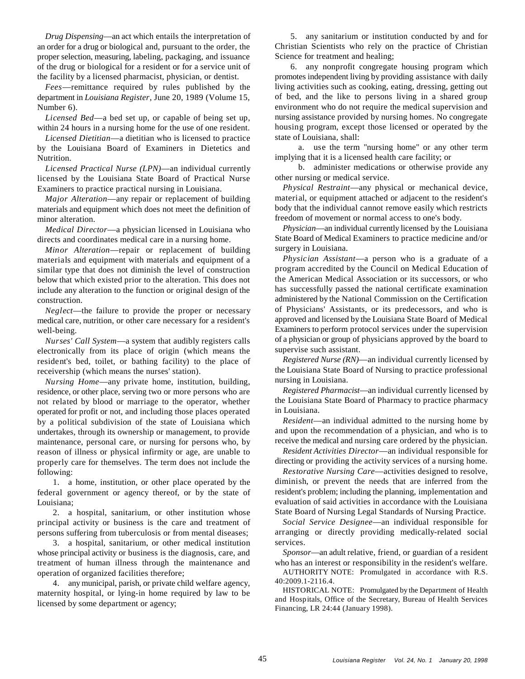*Drug Dispensing*— an act which entails the interpretation of an order for a drug or biological and, pursuant to the order, the proper selection, measuring, labeling, packaging, and issuance of the drug or biological for a resident or for a service unit of the facility by a licensed pharmacist, physician, or dentist.

*Fees*— remittance required by rules published by the department in *Louisiana Register*, June 20, 1989 (Volume 15, Number 6).

*Licensed Bed*— a bed set up, or capable of being set up, within 24 hours in a nursing home for the use of one resident.

*Licensed Dietitian*— a dietitian who is licensed to practice by the Louisiana Board of Examiners in Dietetics and Nutrition.

*Licensed Practical Nurse (LPN)*— an individual currently licensed by the Louisiana State Board of Practical Nurse Examiners to practice practical nursing in Louisiana.

*Major Alteration*— any repair or replacement of building materials and equipment which does not meet the definition of minor alteration.

*Medical Director*— a physician licensed in Louisiana who directs and coordinates medical care in a nursing home.

*Minor Alteration*— repair or replacement of building materials and equipment with materials and equipment of a similar type that does not diminish the level of construction below that which existed prior to the alteration. This does not include any alteration to the function or original design of the construction.

*Neglect*— the failure to provide the proper or necessary medical care, nutrition, or other care necessary for a resident's well-being.

*Nurses' Call System*— a system that audibly registers calls electronically from its place of origin (which means the resident's bed, toilet, or bathing facility) to the place of receivership (which means the nurses' station).

*Nursing Home*— any private home, institution, building, residence, or other place, serving two or more persons who are not related by blood or marriage to the operator, whether operated for profit or not, and including those places operated by a political subdivision of the state of Louisiana which undertakes, through its ownership or management, to provide maintenance, personal care, or nursing for persons who, by reason of illness or physical infirmity or age, are unable to properly care for themselves. The term does not include the following:

1. a home, institution, or other place operated by the federal government or agency thereof, or by the state of Louisiana;

2. a hospital, sanitarium, or other institution whose principal activity or business is the care and treatment of persons suffering from tuberculosis or from mental diseases;

3. a hospital, sanitarium, or other medical institution whose principal activity or business is the diagnosis, care, and treatment of human illness through the maintenance and operation of organized facilities therefore;

4. any municipal, parish, or private child welfare agency, maternity hospital, or lying-in home required by law to be licensed by some department or agency;

5. any sanitarium or institution conducted by and for Christian Scientists who rely on the practice of Christian Science for treatment and healing;

6. any nonprofit congregate housing program which promotes independent living by providing assistance with daily living activities such as cooking, eating, dressing, getting out of bed, and the like to persons living in a shared group environment who do not require the medical supervision and nursing assistance provided by nursing homes. No congregate housing program, except those licensed or operated by the state of Louisiana, shall:

a. use the term "nursing home" or any other term implying that it is a licensed health care facility; or

b. administer medications or otherwise provide any other nursing or medical service.

*Physical Restraint*— any physical or mechanical device, material, or equipment attached or adjacent to the resident's body that the individual cannot remove easily which restricts freedom of movement or normal access to one's body.

*Physician*— an individual currently licensed by the Louisiana State Board of Medical Examiners to practice medicine and/or surgery in Louisiana.

*Physician Assistant*— a person who is a graduate of a program accredited by the Council on Medical Education of the American Medical Association or its successors, or who has successfully passed the national certificate examination administered by the National Commission on the Certification of Physicians' Assistants, or its predecessors, and who is approved and licensed by the Louisiana State Board of Medical Examiners to perform protocol services under the supervision of a physician or group of physicians approved by the board to supervise such assistant.

*Registered Nurse (RN)*— an individual currently licensed by the Louisiana State Board of Nursing to practice professional nursing in Louisiana.

*Registered Pharmacist*— an individual currently licensed by the Louisiana State Board of Pharmacy to practice pharmacy in Louisiana.

*Resident*— an individual admitted to the nursing home by and upon the recommendation of a physician, and who is to receive the medical and nursing care ordered by the physician.

*Resident Activities Director*— an individual responsible for directing or providing the activity services of a nursing home.

*Restorative Nursing Care*— activities designed to resolve, diminish, or prevent the needs that are inferred from the resident's problem; including the planning, implementation and evaluation of said activities in accordance with the Louisiana State Board of Nursing Legal Standards of Nursing Practice.

*Social Service Designee*— an individual responsible for arranging or directly providing medically-related social services.

*Sponsor*— an adult relative, friend, or guardian of a resident who has an interest or responsibility in the resident's welfare.

AUTHORITY NOTE: Promulgated in accordance with R.S. 40:2009.1-2116.4.

HISTORICAL NOTE: Promulgated by the Department of Health and Hospitals, Office of the Secretary, Bureau of Health Services Financing, LR 24:44 (January 1998).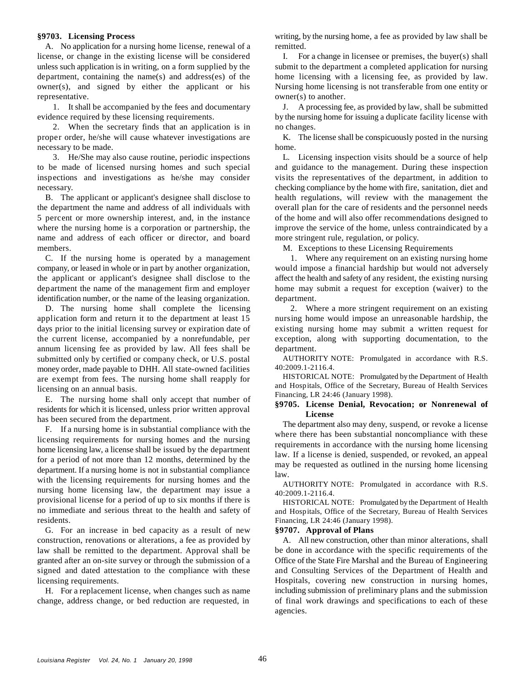# **§9703. Licensing Process**

A. No application for a nursing home license, renewal of a remitted. license, or change in the existing license will be considered I. For a change in licensee or premises, the buyer(s) shall unless such application is in writing, on a form supplied by the submit to the department a completed application for nursing department, containing the name(s) and address(es) of the home licensing with a licensing fee, as provided by law. owner(s), and signed by either the applicant or his Nursing home licensing is not transferable from one entity or representative.  $\omega$  owner(s) to another.

evidence required by these licensing requirements. by the nursing home for issuing a duplicate facility license with

2. When the secretary finds that an application is in no changes. proper order, he/she will cause whatever investigations are K. The license shall be conspicuously posted in the nursing necessary to be made. home.

to be made of licensed nursing homes and such special and guidance to the management. During these inspection inspections and investigations as he/she may consider visits the representatives of the department, in addition to necessary. checking compliance by the home with fire, sanitation, diet and

the department the name and address of all individuals with overall plan for the care of residents and the personnel needs 5 percent or more ownership interest, and, in the instance of the home and will also offer recommendations designed to where the nursing home is a corporation or partnership, the improve the service of the home, unless contraindicated by a name and address of each officer or director, and board more stringent rule, regulation, or policy. members. M. Exceptions to these Licensing Requirements

company, or leased in whole or in part by another organization, would impose a financial hardship but would not adversely the applicant or applicant's designee shall disclose to the affect the health and safety of any resident, the existing nursing department the name of the management firm and employer home may submit a request for exception (waiver) to the identification number, or the name of the leasing organization. department.

application form and return it to the department at least 15 nursing home would impose an unreasonable hardship, the days prior to the initial licensing survey or expiration date of existing nursing home may submit a written request for the current license, accompanied by a nonrefundable, per exception, along with supporting documentation, to the annum licensing fee as provided by law. All fees shall be department. submitted only by certified or company check, or U.S. postal money order, made payable to DHH. All state-owned facilities are exempt from fees. The nursing home shall reapply for licensing on an annual basis.

E. The nursing home shall only accept that number of residents for which it is licensed, unless prior written approval has been secured from the department.

F. If a nursing home is in substantial compliance with the licensing requirements for nursing homes and the nursing home licensing law, a license shall be issued by the department for a period of not more than 12 months, determined by the department. If a nursing home is not in substantial compliance with the licensing requirements for nursing homes and the nursing home licensing law, the department may issue a provisional license for a period of up to six months if there is no immediate and serious threat to the health and safety of residents. Financing, LR 24:46 (January 1998).

G. For an increase in bed capacity as a result of new **§9707. Approval of Plans** construction, renovations or alterations, a fee as provided by law shall be remitted to the department. Approval shall be granted after an on-site survey or through the submission of a signed and dated attestation to the compliance with these licensing requirements.

H. For a replacement license, when changes such as name change, address change, or bed reduction are requested, in

writing, by the nursing home, a fee as provided by law shall be

1. It shall be accompanied by the fees and documentary J. A processing fee, as provided by law, shall be submitted

3. He/She may also cause routine, periodic inspections L. Licensing inspection visits should be a source of help B. The applicant or applicant's designee shall disclose to health regulations, will review with the management the

C. If the nursing home is operated by a management 1. Where any requirement on an existing nursing home

D. The nursing home shall complete the licensing 2. Where a more stringent requirement on an existing

AUTHORITY NOTE: Promulgated in accordance with R.S. 40:2009.1-2116.4.

HISTORICAL NOTE: Promulgated by the Department of Health and Hospitals, Office of the Secretary, Bureau of Health Services Financing, LR 24:46 (January 1998).

# **§9705. License Denial, Revocation; or Nonrenewal of License**

The department also may deny, suspend, or revoke a license where there has been substantial noncompliance with these requirements in accordance with the nursing home licensing law. If a license is denied, suspended, or revoked, an appeal may be requested as outlined in the nursing home licensing law.

AUTHORITY NOTE: Promulgated in accordance with R.S. 40:2009.1-2116.4.

HISTORICAL NOTE: Promulgated by the Department of Health and Hospitals, Office of the Secretary, Bureau of Health Services

A. All new construction, other than minor alterations, shall be done in accordance with the specific requirements of the Office of the State Fire Marshal and the Bureau of Engineering and Consulting Services of the Department of Health and Hospitals, covering new construction in nursing homes, including submission of preliminary plans and the submission of final work drawings and specifications to each of these agencies.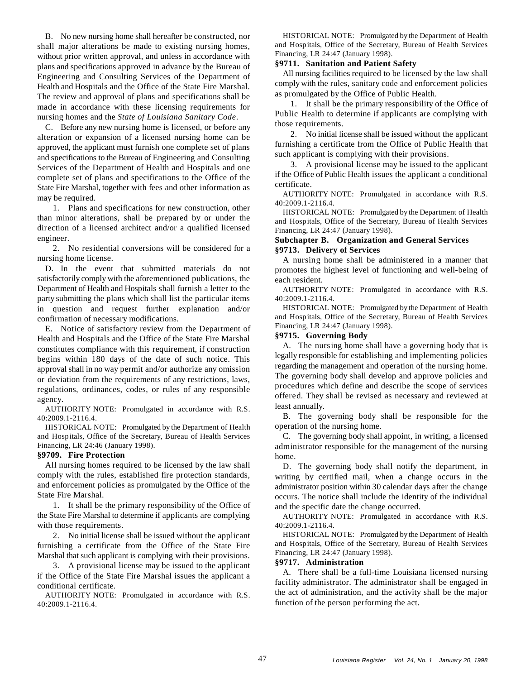B. No new nursing home shall hereafter be constructed, nor shall major alterations be made to existing nursing homes, without prior written approval, and unless in accordance with plans and specifications approved in advance by the Bureau of Engineering and Consulting Services of the Department of Health and Hospitals and the Office of the State Fire Marshal. The review and approval of plans and specifications shall be made in accordance with these licensing requirements for nursing homes and the *State of Louisiana Sanitary Code*.

C. Before any new nursing home is licensed, or before any alteration or expansion of a licensed nursing home can be approved, the applicant must furnish one complete set of plans and specifications to the Bureau of Engineering and Consulting Services of the Department of Health and Hospitals and one complete set of plans and specifications to the Office of the State Fire Marshal, together with fees and other information as may be required.

1. Plans and specifications for new construction, other than minor alterations, shall be prepared by or under the direction of a licensed architect and/or a qualified licensed engineer.

2. No residential conversions will be considered for a nursing home license.

D. In the event that submitted materials do not satisfactorily comply with the aforementioned publications, the Department of Health and Hospitals shall furnish a letter to the party submitting the plans which shall list the particular items in question and request further explanation and/or confirmation of necessary modifications.

E. Notice of satisfactory review from the Department of Health and Hospitals and the Office of the State Fire Marshal constitutes compliance with this requirement, if construction begins within 180 days of the date of such notice. This approval shall in no way permit and/or authorize any omission or deviation from the requirements of any restrictions, laws, regulations, ordinances, codes, or rules of any responsible agency.

AUTHORITY NOTE: Promulgated in accordance with R.S. 40:2009.1-2116.4.

HISTORICAL NOTE: Promulgated by the Department of Health and Hospitals, Office of the Secretary, Bureau of Health Services Financing, LR 24:46 (January 1998).

### **§9709. Fire Protection**

All nursing homes required to be licensed by the law shall comply with the rules, established fire protection standards, and enforcement policies as promulgated by the Office of the State Fire Marshal.

1. It shall be the primary responsibility of the Office of the State Fire Marshal to determine if applicants are complying with those requirements.

2. No initial license shall be issued without the applicant furnishing a certificate from the Office of the State Fire Marshal that such applicant is complying with their provisions.

3. A provisional license may be issued to the applicant if the Office of the State Fire Marshal issues the applicant a conditional certificate.

AUTHORITY NOTE: Promulgated in accordance with R.S. 40:2009.1-2116.4.

HISTORICAL NOTE: Promulgated by the Department of Health and Hospitals, Office of the Secretary, Bureau of Health Services Financing, LR 24:47 (January 1998).

# **§9711. Sanitation and Patient Safety**

All nursing facilities required to be licensed by the law shall comply with the rules, sanitary code and enforcement policies as promulgated by the Office of Public Health.

1. It shall be the primary responsibility of the Office of Public Health to determine if applicants are complying with those requirements.

2. No initial license shall be issued without the applicant furnishing a certificate from the Office of Public Health that such applicant is complying with their provisions.

3. A provisional license may be issued to the applicant if the Office of Public Health issues the applicant a conditional certificate.

AUTHORITY NOTE: Promulgated in accordance with R.S. 40:2009.1-2116.4.

HISTORICAL NOTE: Promulgated by the Department of Health and Hospitals, Office of the Secretary, Bureau of Health Services Financing, LR 24:47 (January 1998).

# **Subchapter B. Organization and General Services §9713. Delivery of Services**

A nursing home shall be administered in a manner that promotes the highest level of functioning and well-being of each resident.

AUTHORITY NOTE: Promulgated in accordance with R.S. 40:2009.1-2116.4.

HISTORICAL NOTE: Promulgated by the Department of Health and Hospitals, Office of the Secretary, Bureau of Health Services Financing, LR 24:47 (January 1998).

### **§9715. Governing Body**

A. The nursing home shall have a governing body that is legally responsible for establishing and implementing policies regarding the management and operation of the nursing home. The governing body shall develop and approve policies and procedures which define and describe the scope of services offered. They shall be revised as necessary and reviewed at least annually.

B. The governing body shall be responsible for the operation of the nursing home.

C. The governing body shall appoint, in writing, a licensed administrator responsible for the management of the nursing home.

D. The governing body shall notify the department, in writing by certified mail, when a change occurs in the administrator position within 30 calendar days after the change occurs. The notice shall include the identity of the individual and the specific date the change occurred.

AUTHORITY NOTE: Promulgated in accordance with R.S. 40:2009.1-2116.4.

HISTORICAL NOTE: Promulgated by the Department of Health and Hospitals, Office of the Secretary, Bureau of Health Services Financing, LR 24:47 (January 1998).

#### **§9717. Administration**

A. There shall be a full-time Louisiana licensed nursing facility administrator. The administrator shall be engaged in the act of administration, and the activity shall be the major function of the person performing the act.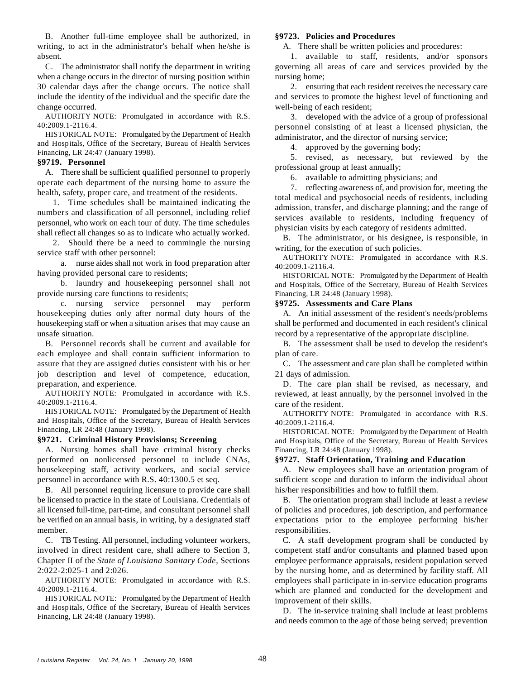B. Another full-time employee shall be authorized, in writing, to act in the administrator's behalf when he/she is A. There shall be written policies and procedures: absent. 1. available to staff, residents, and/or sponsors

when a change occurs in the director of nursing position within nursing home; 30 calendar days after the change occurs. The notice shall 2. ensuring that each resident receives the necessary care include the identity of the individual and the specific date the and services to promote the highest level of functioning and change occurred. well-being of each resident;

AUTHORITY NOTE: Promulgated in accordance with R.S. 40:2009.1-2116.4.

HISTORICAL NOTE: Promulgated by the Department of Health and Hospitals, Office of the Secretary, Bureau of Health Services Financing, LR 24:47 (January 1998).

### **§9719. Personnel**

A. There shall be sufficient qualified personnel to properly operate each department of the nursing home to assure the health, safety, proper care, and treatment of the residents.

1. Time schedules shall be maintained indicating the numbers and classification of all personnel, including relief personnel, who work on each tour of duty. The time schedules shall reflect all changes so as to indicate who actually worked.

2. Should there be a need to commingle the nursing service staff with other personnel:

a. nurse aides shall not work in food preparation after having provided personal care to residents;

b. laundry and housekeeping personnel shall not provide nursing care functions to residents;

c. nursing service personnel may perform housekeeping duties only after normal duty hours of the A. An initial assessment of the resident's needs/problems housekeeping staff or when a situation arises that may cause an shall be performed and documented in each resident's clinical unsafe situation. The cord by a representative of the appropriate discipline.

each employee and shall contain sufficient information to plan of care. assure that they are assigned duties consistent with his or her C. The assessment and care plan shall be completed within job description and level of competence, education, 21 days of admission. preparation, and experience. D. The care plan shall be revised, as necessary, and

AUTHORITY NOTE: Promulgated in accordance with R.S. 40:2009.1-2116.4.

HISTORICAL NOTE: Promulgated by the Department of Health and Hospitals, Office of the Secretary, Bureau of Health Services Financing, LR 24:48 (January 1998).

# **§9721. Criminal History Provisions; Screening**

A. Nursing homes shall have criminal history checks performed on nonlicensed personnel to include CNAs, housekeeping staff, activity workers, and social service A. New employees shall have an orientation program of personnel in accordance with R.S. 40:1300.5 et seq. sufficient scope and duration to inform the individual about

B. All personnel requiring licensure to provide care shall his/her responsibilities and how to fulfill them. be licensed to practice in the state of Louisiana. Credentials of B. The orientation program shall include at least a review all licensed full-time, part-time, and consultant personnel shall of policies and procedures, job description, and performance be verified on an annual basis, in writing, by a designated staff expectations prior to the employee performing his/her member. responsibilities.

involved in direct resident care, shall adhere to Section 3, competent staff and/or consultants and planned based upon Chapter II of the *State of Louisiana Sanitary Code*, Sections 2:022-2:025-1 and 2:026.

AUTHORITY NOTE: Promulgated in accordance with R.S. 40:2009.1-2116.4.

HISTORICAL NOTE: Promulgated by the Department of Health and Hospitals, Office of the Secretary, Bureau of Health Services Financing, LR 24:48 (January 1998).

# **§9723. Policies and Procedures**

C. The administrator shall notify the department in writing governing all areas of care and services provided by the

3. developed with the advice of a group of professional personnel consisting of at least a licensed physician, the administrator, and the director of nursing service;

4. approved by the governing body;

5. revised, as necessary, but reviewed by the professional group at least annually;

6. available to admitting physicians; and

7. reflecting awareness of, and provision for, meeting the total medical and psychosocial needs of residents, including admission, transfer, and discharge planning; and the range of services available to residents, including frequency of physician visits by each category of residents admitted.

B. The administrator, or his designee, is responsible, in writing, for the execution of such policies.

AUTHORITY NOTE: Promulgated in accordance with R.S. 40:2009.1-2116.4.

HISTORICAL NOTE: Promulgated by the Department of Health and Hospitals, Office of the Secretary, Bureau of Health Services Financing, LR 24:48 (January 1998).

### **§9725. Assessments and Care Plans**

B. Personnel records shall be current and available for B. The assessment shall be used to develop the resident's

reviewed, at least annually, by the personnel involved in the care of the resident.

AUTHORITY NOTE: Promulgated in accordance with R.S. 40:2009.1-2116.4.

HISTORICAL NOTE: Promulgated by the Department of Health and Hospitals, Office of the Secretary, Bureau of Health Services Financing, LR 24:48 (January 1998).

# **§9727. Staff Orientation, Training and Education**

C. TB Testing. All personnel, including volunteer workers, C. A staff development program shall be conducted by employee performance appraisals, resident population served by the nursing home, and as determined by facility staff. All employees shall participate in in-service education programs which are planned and conducted for the development and improvement of their skills.

> D. The in-service training shall include at least problems and needs common to the age of those being served; prevention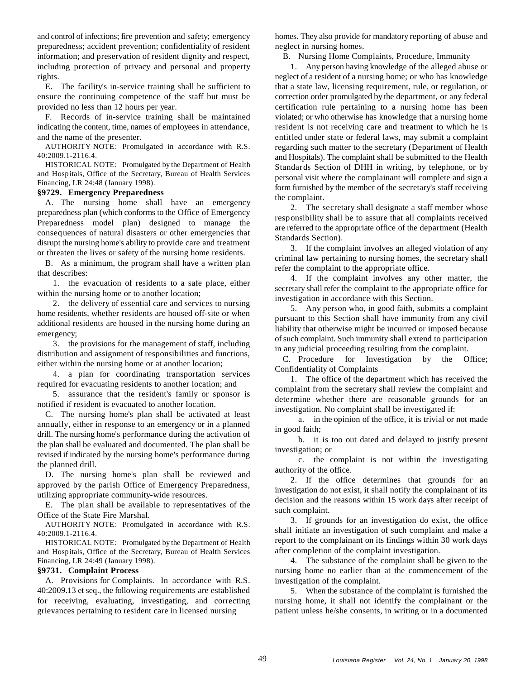and control of infections; fire prevention and safety; emergency homes. They also provide for mandatory reporting of abuse and preparedness; accident prevention; confidentiality of resident neglect in nursing homes. information; and preservation of resident dignity and respect, B. Nursing Home Complaints, Procedure, Immunity including protection of privacy and personal and property 1. Any person having knowledge of the alleged abuse or rights. neglect of a resident of a nursing home; or who has knowledge

ensure the continuing competence of the staff but must be correction order promulgated by the department, or any federal provided no less than 12 hours per year. certification rule pertaining to a nursing home has been

indicating the content, time, names of employees in attendance, resident is not receiving care and treatment to which he is

AUTHORITY NOTE: Promulgated in accordance with R.S. 40:2009.1-2116.4.

HISTORICAL NOTE: Promulgated by the Department of Health and Hospitals, Office of the Secretary, Bureau of Health Services Financing, LR 24:48 (January 1998).

# **§9729. Emergency Preparedness**

A. The nursing home shall have an emergency preparedness plan (which conforms to the Office of Emergency Preparedness model plan) designed to manage the consequences of natural disasters or other emergencies that disrupt the nursing home's ability to provide care and treatment or threaten the lives or safety of the nursing home residents.

B. As a minimum, the program shall have a written plan that describes:

1. the evacuation of residents to a safe place, either within the nursing home or to another location;

2. the delivery of essential care and services to nursing home residents, whether residents are housed off-site or when additional residents are housed in the nursing home during an emergency;

3. the provisions for the management of staff, including distribution and assignment of responsibilities and functions, either within the nursing home or at another location;

4. a plan for coordinating transportation services required for evacuating residents to another location; and

5. assurance that the resident's family or sponsor is notified if resident is evacuated to another location.

C. The nursing home's plan shall be activated at least annually, either in response to an emergency or in a planned drill. The nursing home's performance during the activation of the plan shall be evaluated and documented. The plan shall be revised if indicated by the nursing home's performance during the planned drill.

D. The nursing home's plan shall be reviewed and approved by the parish Office of Emergency Preparedness, utilizing appropriate community-wide resources.

E. The plan shall be available to representatives of the Office of the State Fire Marshal.

AUTHORITY NOTE: Promulgated in accordance with R.S. 40:2009.1-2116.4.

HISTORICAL NOTE: Promulgated by the Department of Health and Hospitals, Office of the Secretary, Bureau of Health Services Financing, LR 24:49 (January 1998). 4. The substance of the complaint shall be given to the

A. Provisions for Complaints. In accordance with R.S. 40:2009.13 et seq., the following requirements are established for receiving, evaluating, investigating, and correcting grievances pertaining to resident care in licensed nursing

E. The facility's in-service training shall be sufficient to that a state law, licensing requirement, rule, or regulation, or F. Records of in-service training shall be maintained violated; or who otherwise has knowledge that a nursing home and the name of the presenter. entitled under state or federal laws, may submit a complaint regarding such matter to the secretary (Department of Health and Hospitals). The complaint shall be submitted to the Health Standards Section of DHH in writing, by telephone, or by personal visit where the complainant will complete and sign a form furnished by the member of the secretary's staff receiving the complaint.

> 2. The secretary shall designate a staff member whose responsibility shall be to assure that all complaints received are referred to the appropriate office of the department (Health Standards Section).

> 3. If the complaint involves an alleged violation of any criminal law pertaining to nursing homes, the secretary shall refer the complaint to the appropriate office.

> 4. If the complaint involves any other matter, the secretary shall refer the complaint to the appropriate office for investigation in accordance with this Section.

> 5. Any person who, in good faith, submits a complaint pursuant to this Section shall have immunity from any civil liability that otherwise might be incurred or imposed because of such complaint. Such immunity shall extend to participation in any judicial proceeding resulting from the complaint.

> C. Procedure for Investigation by the Office; Confidentiality of Complaints

> 1. The office of the department which has received the complaint from the secretary shall review the complaint and determine whether there are reasonable grounds for an investigation. No complaint shall be investigated if:

> a. in the opinion of the office, it is trivial or not made in good faith;

> b. it is too out dated and delayed to justify present investigation; or

> c. the complaint is not within the investigating authority of the office.

> 2. If the office determines that grounds for an investigation do not exist, it shall notify the complainant of its decision and the reasons within 15 work days after receipt of such complaint.

> 3. If grounds for an investigation do exist, the office shall initiate an investigation of such complaint and make a report to the complainant on its findings within 30 work days after completion of the complaint investigation.

**§9731. Complaint Process** nursing home no earlier than at the commencement of the investigation of the complaint.

> 5. When the substance of the complaint is furnished the nursing home, it shall not identify the complainant or the patient unless he/she consents, in writing or in a documented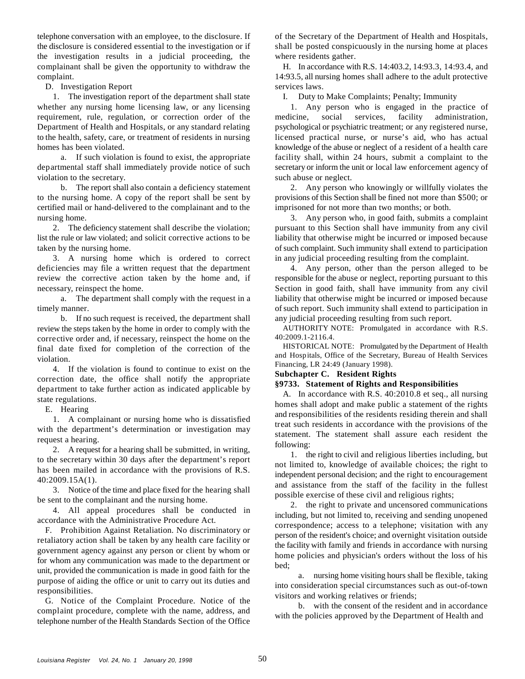telephone conversation with an employee, to the disclosure. If of the Secretary of the Department of Health and Hospitals, the disclosure is considered essential to the investigation or if shall be posted conspicuously in the nursing home at places the investigation results in a judicial proceeding, the where residents gather. complainant shall be given the opportunity to withdraw the H. In accordance with R.S. 14:403.2, 14:93.3, 14:93.4, and complaint. 14:93.5, all nursing homes shall adhere to the adult protective

D. Investigation Report services laws.

1. The investigation report of the department shall state I. Duty to Make Complaints; Penalty; Immunity whether any nursing home licensing law, or any licensing 1. Any person who is engaged in the practice of requirement, rule, regulation, or correction order of the medicine, social services, facility administration, Department of Health and Hospitals, or any standard relating psychological or psychiatric treatment; or any registered nurse, to the health, safety, care, or treatment of residents in nursing licensed practical nurse, or nurse's aid, who has actual homes has been violated. knowledge of the abuse or neglect of a resident of a health care

departmental staff shall immediately provide notice of such secretary or inform the unit or local law enforcement agency of violation to the secretary. Such abuse or neglect.

to the nursing home. A copy of the report shall be sent by provisions of this Section shall be fined not more than \$500; or certified mail or hand-delivered to the complainant and to the imprisoned for not more than two months; or both. nursing home. 3. Any person who, in good faith, submits a complaint

list the rule or law violated; and solicit corrective actions to be liability that otherwise might be incurred or imposed because taken by the nursing home.  $\blacksquare$  of such complaint. Such immunity shall extend to participation

3. A nursing home which is ordered to correct in any judicial proceeding resulting from the complaint. deficiencies may file a written request that the department 4. Any person, other than the person alleged to be review the corrective action taken by the home and, if responsible for the abuse or neglect, reporting pursuant to this necessary, reinspect the home. Section in good faith, shall have immunity from any civil

timely manner. of such report. Such immunity shall extend to participation in

b. If no such request is received, the department shall any judicial proceeding resulting from such report. review the steps taken by the home in order to comply with the corrective order and, if necessary, reinspect the home on the final date fixed for completion of the correction of the violation.

4. If the violation is found to continue to exist on the correction date, the office shall notify the appropriate department to take further action as indicated applicable by state regulations.

E. Hearing

1. A complainant or nursing home who is dissatisfied with the department's determination or investigation may request a hearing.

2. A request for a hearing shall be submitted, in writing, to the secretary within 30 days after the department's report has been mailed in accordance with the provisions of R.S. 40:2009.15A(1).

3. Notice of the time and place fixed for the hearing shall be sent to the complainant and the nursing home.

4. All appeal procedures shall be conducted in accordance with the Administrative Procedure Act.

F. Prohibition Against Retaliation. No discriminatory or retaliatory action shall be taken by any health care facility or government agency against any person or client by whom or for whom any communication was made to the department or unit, provided the communication is made in good faith for the purpose of aiding the office or unit to carry out its duties and responsibilities.

G. Notice of the Complaint Procedure. Notice of the complaint procedure, complete with the name, address, and telephone number of the Health Standards Section of the Office

a. If such violation is found to exist, the appropriate facility shall, within 24 hours, submit a complaint to the

b. The report shall also contain a deficiency statement 2. Any person who knowingly or willfully violates the

2. The deficiency statement shall describe the violation; pursuant to this Section shall have immunity from any civil

a. The department shall comply with the request in a liability that otherwise might be incurred or imposed because

AUTHORITY NOTE: Promulgated in accordance with R.S. 40:2009.1-2116.4.

HISTORICAL NOTE: Promulgated by the Department of Health and Hospitals, Office of the Secretary, Bureau of Health Services Financing, LR 24:49 (January 1998).

# **Subchapter C. Resident Rights**

# **§9733. Statement of Rights and Responsibilities**

A. In accordance with R.S. 40:2010.8 et seq., all nursing homes shall adopt and make public a statement of the rights and responsibilities of the residents residing therein and shall treat such residents in accordance with the provisions of the statement. The statement shall assure each resident the following:

1. the right to civil and religious liberties including, but not limited to, knowledge of available choices; the right to independent personal decision; and the right to encouragement and assistance from the staff of the facility in the fullest possible exercise of these civil and religious rights;

2. the right to private and uncensored communications including, but not limited to, receiving and sending unopened correspondence; access to a telephone; visitation with any person of the resident's choice; and overnight visitation outside the facility with family and friends in accordance with nursing home policies and physician's orders without the loss of his bed;

a. nursing home visiting hours shall be flexible, taking into consideration special circumstances such as out-of-town visitors and working relatives or friends;

b. with the consent of the resident and in accordance with the policies approved by the Department of Health and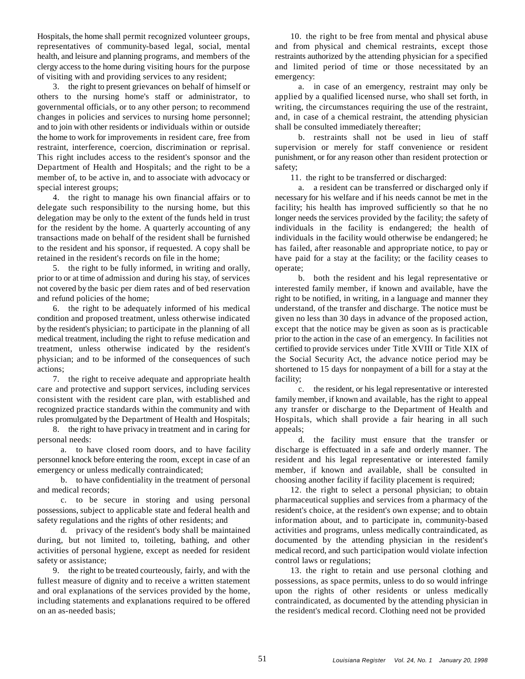Hospitals, the home shall permit recognized volunteer groups, 10. the right to be free from mental and physical abuse representatives of community-based legal, social, mental and from physical and chemical restraints, except those health, and leisure and planning programs, and members of the restraints authorized by the attending physician for a specified clergy access to the home during visiting hours for the purpose and limited period of time or those necessitated by an of visiting with and providing services to any resident; emergency:

others to the nursing home's staff or administrator, to applied by a qualified licensed nurse, who shall set forth, in governmental officials, or to any other person; to recommend writing, the circumstances requiring the use of the restraint, changes in policies and services to nursing home personnel; and, in case of a chemical restraint, the attending physician and to join with other residents or individuals within or outside shall be consulted immediately thereafter; the home to work for improvements in resident care, free from b. restraints shall not be used in lieu of staff restraint, interference, coercion, discrimination or reprisal. supervision or merely for staff convenience or resident This right includes access to the resident's sponsor and the punishment, or for any reason other than resident protection or Department of Health and Hospitals; and the right to be a safety; member of, to be active in, and to associate with advocacy or 11. the right to be transferred or discharged: special interest groups; a. a resident can be transferred or discharged only if

delegate such responsibility to the nursing home, but this facility; his health has improved sufficiently so that he no delegation may be only to the extent of the funds held in trust longer needs the services provided by the facility; the safety of for the resident by the home. A quarterly accounting of any individuals in the facility is endangered; the health of transactions made on behalf of the resident shall be furnished individuals in the facility would otherwise be endangered; he to the resident and his sponsor, if requested. A copy shall be has failed, after reasonable and appropriate notice, to pay or retained in the resident's records on file in the home; have paid for a stay at the facility; or the facility ceases to

5. the right to be fully informed, in writing and orally, operate; prior to or at time of admission and during his stay, of services b. both the resident and his legal representative or not covered by the basic per diem rates and of bed reservation interested family member, if known and available, have the and refund policies of the home; right to be notified, in writing, in a language and manner they

condition and proposed treatment, unless otherwise indicated given no less than 30 days in advance of the proposed action, by the resident's physician; to participate in the planning of all except that the notice may be given as soon as is practicable medical treatment, including the right to refuse medication and prior to the action in the case of an emergency. In facilities not treatment, unless otherwise indicated by the resident's certified to provide services under Title XVIII or Title XIX of physician; and to be informed of the consequences of such the Social Security Act, the advance notice period may be actions; shortened to 15 days for nonpayment of a bill for a stay at the

7. the right to receive adequate and appropriate health facility; care and protective and support services, including services c. the resident, or his legal representative or interested consistent with the resident care plan, with established and family member, if known and available, has the right to appeal recognized practice standards within the community and with any transfer or discharge to the Department of Health and rules promulgated by the Department of Health and Hospitals; Hospitals, which shall provide a fair hearing in all such

8. the right to have privacy in treatment and in caring for appeals; personal needs: d. the facility must ensure that the transfer or

personnel knock before entering the room, except in case of an resident and his legal representative or interested family emergency or unless medically contraindicated; member, if known and available, shall be consulted in

and medical records; 12. the right to select a personal physician; to obtain

possessions, subject to applicable state and federal health and resident's choice, at the resident's own expense; and to obtain safety regulations and the rights of other residents; and information about, and to participate in, community-based

during, but not limited to, toileting, bathing, and other documented by the attending physician in the resident's activities of personal hygiene, except as needed for resident medical record, and such participation would violate infection safety or assistance; control laws or regulations;

fullest measure of dignity and to receive a written statement possessions, as space permits, unless to do so would infringe and oral explanations of the services provided by the home, upon the rights of other residents or unless medically including statements and explanations required to be offered contraindicated, as documented by the attending physician in on an as-needed basis; the resident's medical record. Clothing need not be provided

3. the right to present grievances on behalf of himself or a. in case of an emergency, restraint may only be

4. the right to manage his own financial affairs or to necessary for his welfare and if his needs cannot be met in the

6. the right to be adequately informed of his medical understand, of the transfer and discharge. The notice must be

a. to have closed room doors, and to have facility discharge is effectuated in a safe and orderly manner. The b. to have confidentiality in the treatment of personal choosing another facility if facility placement is required;

c. to be secure in storing and using personal pharmaceutical supplies and services from a pharmacy of the d. privacy of the resident's body shall be maintained activities and programs, unless medically contraindicated, as

9. the right to be treated courteously, fairly, and with the 13. the right to retain and use personal clothing and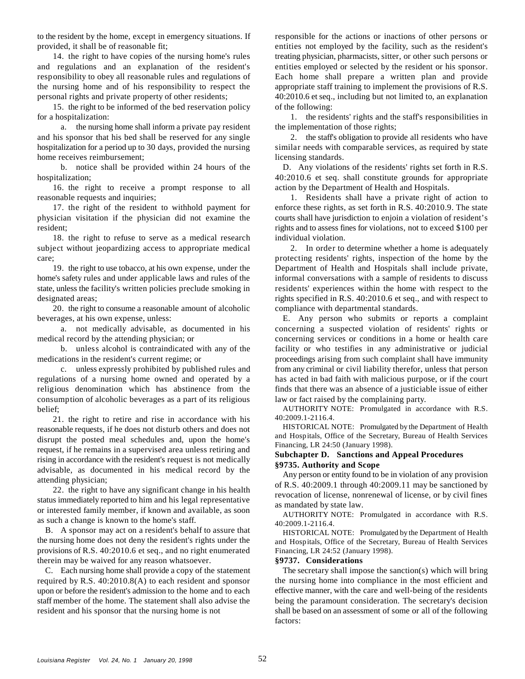to the resident by the home, except in emergency situations. If responsible for the actions or inactions of other persons or provided, it shall be of reasonable fit; entities not employed by the facility, such as the resident's

and regulations and an explanation of the resident's entities employed or selected by the resident or his sponsor. responsibility to obey all reasonable rules and regulations of Each home shall prepare a written plan and provide the nursing home and of his responsibility to respect the appropriate staff training to implement the provisions of R.S. personal rights and private property of other residents; 40:2010.6 et seq., including but not limited to, an explanation

15. the right to be informed of the bed reservation policy of the following: for a hospitalization: 1. the residents' rights and the staff's responsibilities in

a. the nursing home shall inform a private pay resident the implementation of those rights; and his sponsor that his bed shall be reserved for any single 2. the staff's obligation to provide all residents who have hospitalization for a period up to 30 days, provided the nursing similar needs with comparable services, as required by state home receives reimbursement; licensing standards.

hospitalization; and the sequence of the 40:2010.6 et seq. shall constitute grounds for appropriate

16. the right to receive a prompt response to all action by the Department of Health and Hospitals. reasonable requests and inquiries; 1. Residents shall have a private right of action to

physician visitation if the physician did not examine the courts shall have jurisdiction to enjoin a violation of resident's resident; resident; resident; rights and to assess fines for violations, not to exceed \$100 per

18. the right to refuse to serve as a medical research individual violation. subject without jeopardizing access to appropriate medical 2. In order to determine whether a home is adequately care; protecting residents' rights, inspection of the home by the

home's safety rules and under applicable laws and rules of the informal conversations with a sample of residents to discuss state, unless the facility's written policies preclude smoking in residents' experiences within the home with respect to the

20. the right to consume a reasonable amount of alcoholic beverages, at his own expense, unless: E. Any person who submits or reports a complaint

medical record by the attending physician; or concerning services or conditions in a home or health care

religious denomination which has abstinence from the finds that there was an absence of a justiciable issue of either consumption of alcoholic beverages as a part of its religious law or fact raised by the complaining party. belief;

21. the right to retire and rise in accordance with his reasonable requests, if he does not disturb others and does not disrupt the posted meal schedules and, upon the home's request, if he remains in a supervised area unless retiring and rising in accordance with the resident's request is not medically advisable, as documented in his medical record by the attending physician;

22. the right to have any significant change in his health status immediately reported to him and his legal representative or interested family member, if known and available, as soon as such a change is known to the home's staff.

B. A sponsor may act on a resident's behalf to assure that the nursing home does not deny the resident's rights under the provisions of R.S. 40:2010.6 et seq., and no right enumerated Financing, LR 24:52 (January 1998). therein may be waived for any reason whatsoever. **§9737. Considerations**

C. Each nursing home shall provide a copy of the statement required by R.S. 40:2010.8(A) to each resident and sponsor upon or before the resident's admission to the home and to each staff member of the home. The statement shall also advise the resident and his sponsor that the nursing home is not

14. the right to have copies of the nursing home's rules treating physician, pharmacists, sitter, or other such persons or

b. notice shall be provided within 24 hours of the D. Any violations of the residents' rights set forth in R.S.

17. the right of the resident to withhold payment for enforce these rights, as set forth in R.S. 40:2010.9. The state

19. the right to use tobacco, at his own expense, under the Department of Health and Hospitals shall include private, designated areas;<br>
20. the right to consume a reasonable amount of alcoholic compliance with departmental standards.

a. not medically advisable, as documented in his concerning a suspected violation of residents' rights or b. unless alcohol is contraindicated with any of the facility or who testifies in any administrative or judicial medications in the resident's current regime; or proceedings arising from such complaint shall have immunity c. unless expressly prohibited by published rules and from any criminal or civil liability therefor, unless that person regulations of a nursing home owned and operated by a has acted in bad faith with malicious purpose, or if the court

> AUTHORITY NOTE: Promulgated in accordance with R.S. 40:2009.1-2116.4.

> HISTORICAL NOTE: Promulgated by the Department of Health and Hospitals, Office of the Secretary, Bureau of Health Services Financing, LR 24:50 (January 1998).

# **Subchapter D. Sanctions and Appeal Procedures §9735. Authority and Scope**

Any person or entity found to be in violation of any provision of R.S. 40:2009.1 through 40:2009.11 may be sanctioned by revocation of license, nonrenewal of license, or by civil fines as mandated by state law.

AUTHORITY NOTE: Promulgated in accordance with R.S. 40:2009.1-2116.4.

HISTORICAL NOTE: Promulgated by the Department of Health and Hospitals, Office of the Secretary, Bureau of Health Services

The secretary shall impose the sanction(s) which will bring the nursing home into compliance in the most efficient and effective manner, with the care and well-being of the residents being the paramount consideration. The secretary's decision shall be based on an assessment of some or all of the following factors: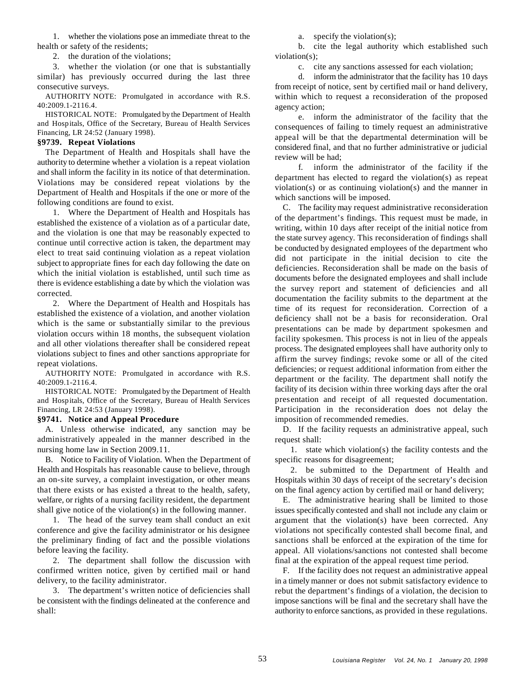1. whether the violations pose an immediate threat to the a. specify the violation(s);

2. the duration of the violations; violation(s);

3. whether the violation (or one that is substantially c. cite any sanctions assessed for each violation; similar) has previously occurred during the last three d. inform the administrator that the facility has 10 days consecutive surveys. from receipt of notice, sent by certified mail or hand delivery,

AUTHORITY NOTE: Promulgated in accordance with R.S. 40:2009.1-2116.4.

HISTORICAL NOTE: Promulgated by the Department of Health and Hospitals, Office of the Secretary, Bureau of Health Services Financing, LR 24:52 (January 1998).

# **§9739. Repeat Violations**

The Department of Health and Hospitals shall have the authority to determine whether a violation is a repeat violation and shall inform the facility in its notice of that determination. Violations may be considered repeat violations by the Department of Health and Hospitals if the one or more of the following conditions are found to exist.

1. Where the Department of Health and Hospitals has established the existence of a violation as of a particular date, and the violation is one that may be reasonably expected to continue until corrective action is taken, the department may elect to treat said continuing violation as a repeat violation subject to appropriate fines for each day following the date on which the initial violation is established, until such time as there is evidence establishing a date by which the violation was corrected.

2. Where the Department of Health and Hospitals has established the existence of a violation, and another violation which is the same or substantially similar to the previous violation occurs within 18 months, the subsequent violation and all other violations thereafter shall be considered repeat violations subject to fines and other sanctions appropriate for repeat violations.

AUTHORITY NOTE: Promulgated in accordance with R.S. 40:2009.1-2116.4.

HISTORICAL NOTE: Promulgated by the Department of Health and Hospitals, Office of the Secretary, Bureau of Health Services Financing, LR 24:53 (January 1998). Participation in the reconsideration does not delay the

A. Unless otherwise indicated, any sanction may be administratively appealed in the manner described in the nursing home law in Section 2009.11.

B. Notice to Facility of Violation. When the Department of Health and Hospitals has reasonable cause to believe, through an on-site survey, a complaint investigation, or other means that there exists or has existed a threat to the health, safety, welfare, or rights of a nursing facility resident, the department shall give notice of the violation(s) in the following manner.

1. The head of the survey team shall conduct an exit conference and give the facility administrator or his designee the preliminary finding of fact and the possible violations before leaving the facility.

2. The department shall follow the discussion with confirmed written notice, given by certified mail or hand delivery, to the facility administrator.

3. The department's written notice of deficiencies shall be consistent with the findings delineated at the conference and shall:

health or safety of the residents; b. cite the legal authority which established such

within which to request a reconsideration of the proposed agency action;

e. inform the administrator of the facility that the consequences of failing to timely request an administrative appeal will be that the departmental determination will be considered final, and that no further administrative or judicial review will be had;

f. inform the administrator of the facility if the department has elected to regard the violation(s) as repeat violation(s) or as continuing violation(s) and the manner in which sanctions will be imposed.

**§9741. Notice and Appeal Procedure** imposition of recommended remedies. C. The facility may request administrative reconsideration of the department's findings. This request must be made, in writing, within 10 days after receipt of the initial notice from the state survey agency. This reconsideration of findings shall be conducted by designated employees of the department who did not participate in the initial decision to cite the deficiencies. Reconsideration shall be made on the basis of documents before the designated employees and shall include the survey report and statement of deficiencies and all documentation the facility submits to the department at the time of its request for reconsideration. Correction of a deficiency shall not be a basis for reconsideration. Oral presentations can be made by department spokesmen and facility spokesmen. This process is not in lieu of the appeals process. The designated employees shall have authority only to affirm the survey findings; revoke some or all of the cited deficiencies; or request additional information from either the department or the facility. The department shall notify the facility of its decision within three working days after the oral presentation and receipt of all requested documentation.

> D. If the facility requests an administrative appeal, such request shall:

> 1. state which violation(s) the facility contests and the specific reasons for disagreement;

> 2. be submitted to the Department of Health and Hospitals within 30 days of receipt of the secretary's decision on the final agency action by certified mail or hand delivery;

> E. The administrative hearing shall be limited to those issues specifically contested and shall not include any claim or argument that the violation(s) have been corrected. Any violations not specifically contested shall become final, and sanctions shall be enforced at the expiration of the time for appeal. All violations/sanctions not contested shall become final at the expiration of the appeal request time period.

> F. If the facility does not request an administrative appeal in a timely manner or does not submit satisfactory evidence to rebut the department's findings of a violation, the decision to impose sanctions will be final and the secretary shall have the authority to enforce sanctions, as provided in these regulations.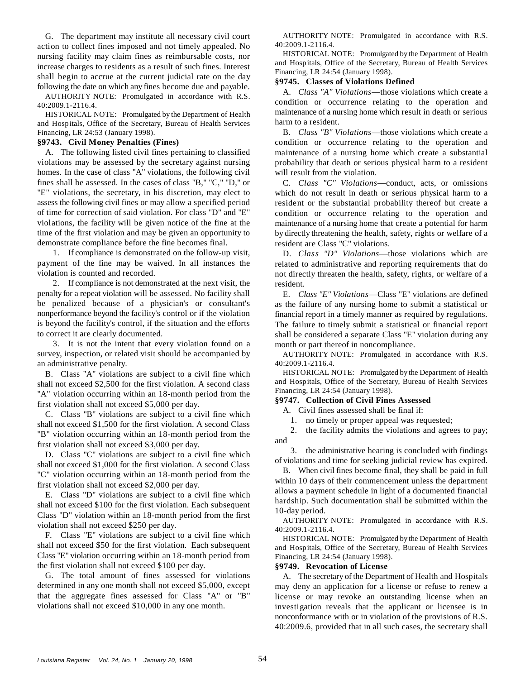G. The department may institute all necessary civil court action to collect fines imposed and not timely appealed. No nursing facility may claim fines as reimbursable costs, nor increase charges to residents as a result of such fines. Interest shall begin to accrue at the current judicial rate on the day following the date on which any fines become due and payable.

AUTHORITY NOTE: Promulgated in accordance with R.S. 40:2009.1-2116.4.

HISTORICAL NOTE: Promulgated by the Department of Health and Hospitals, Office of the Secretary, Bureau of Health Services Financing, LR 24:53 (January 1998).

## **§9743. Civil Money Penalties (Fines)**

A. The following listed civil fines pertaining to classified violations may be assessed by the secretary against nursing homes. In the case of class "A" violations, the following civil fines shall be assessed. In the cases of class "B," "C," "D," or "E" violations, the secretary, in his discretion, may elect to assess the following civil fines or may allow a specified period of time for correction of said violation. For class "D" and "E" violations, the facility will be given notice of the fine at the time of the first violation and may be given an opportunity to demonstrate compliance before the fine becomes final.

1. If compliance is demonstrated on the follow-up visit, payment of the fine may be waived. In all instances the violation is counted and recorded.

2. If compliance is not demonstrated at the next visit, the penalty for a repeat violation will be assessed. No facility shall be penalized because of a physician's or consultant's nonperformance beyond the facility's control or if the violation is beyond the facility's control, if the situation and the efforts to correct it are clearly documented.

3. It is not the intent that every violation found on a survey, inspection, or related visit should be accompanied by an administrative penalty.

B. Class "A" violations are subject to a civil fine which shall not exceed \$2,500 for the first violation. A second class "A" violation occurring within an 18-month period from the first violation shall not exceed \$5,000 per day.

C. Class "B" violations are subject to a civil fine which shall not exceed \$1,500 for the first violation. A second Class "B" violation occurring within an 18-month period from the first violation shall not exceed \$3,000 per day.

D. Class "C" violations are subject to a civil fine which shall not exceed \$1,000 for the first violation. A second Class "C" violation occurring within an 18-month period from the first violation shall not exceed \$2,000 per day.

E. Class "D" violations are subject to a civil fine which shall not exceed \$100 for the first violation. Each subsequent Class "D" violation within an 18-month period from the first violation shall not exceed \$250 per day.

F. Class "E" violations are subject to a civil fine which shall not exceed \$50 for the first violation. Each subsequent Class "E" violation occurring within an 18-month period from the first violation shall not exceed \$100 per day.

G. The total amount of fines assessed for violations determined in any one month shall not exceed \$5,000, except that the aggregate fines assessed for Class "A" or "B" violations shall not exceed \$10,000 in any one month.

AUTHORITY NOTE: Promulgated in accordance with R.S. 40:2009.1-2116.4.

HISTORICAL NOTE: Promulgated by the Department of Health and Hospitals, Office of the Secretary, Bureau of Health Services Financing, LR 24:54 (January 1998).

# **§9745. Classes of Violations Defined**

A. *Class "A" Violations*— those violations which create a condition or occurrence relating to the operation and maintenance of a nursing home which result in death or serious harm to a resident.

B. *Class "B" Violations*— those violations which create a condition or occurrence relating to the operation and maintenance of a nursing home which create a substantial probability that death or serious physical harm to a resident will result from the violation.

C. *Class "C" Violations*— conduct, acts, or omissions which do not result in death or serious physical harm to a resident or the substantial probability thereof but create a condition or occurrence relating to the operation and maintenance of a nursing home that create a potential for harm by directly threatening the health, safety, rights or welfare of a resident are Class "C" violations.

D. *Class "D" Violations*— those violations which are related to administrative and reporting requirements that do not directly threaten the health, safety, rights, or welfare of a resident.

E. *Class "E" Violations*— Class "E" violations are defined as the failure of any nursing home to submit a statistical or financial report in a timely manner as required by regulations. The failure to timely submit a statistical or financial report shall be considered a separate Class "E" violation during any month or part thereof in noncompliance.

AUTHORITY NOTE: Promulgated in accordance with R.S. 40:2009.1-2116.4.

HISTORICAL NOTE: Promulgated by the Department of Health and Hospitals, Office of the Secretary, Bureau of Health Services Financing, LR 24:54 (January 1998).

#### **§9747. Collection of Civil Fines Assessed**

A. Civil fines assessed shall be final if:

1. no timely or proper appeal was requested;

2. the facility admits the violations and agrees to pay; and

3. the administrative hearing is concluded with findings of violations and time for seeking judicial review has expired.

B. When civil fines become final, they shall be paid in full within 10 days of their commencement unless the department allows a payment schedule in light of a documented financial hardship. Such documentation shall be submitted within the 10-day period.

AUTHORITY NOTE: Promulgated in accordance with R.S. 40:2009.1-2116.4.

HISTORICAL NOTE: Promulgated by the Department of Health and Hospitals, Office of the Secretary, Bureau of Health Services Financing, LR 24:54 (January 1998).

# **§9749. Revocation of License**

A. The secretary of the Department of Health and Hospitals may deny an application for a license or refuse to renew a license or may revoke an outstanding license when an investigation reveals that the applicant or licensee is in nonconformance with or in violation of the provisions of R.S. 40:2009.6, provided that in all such cases, the secretary shall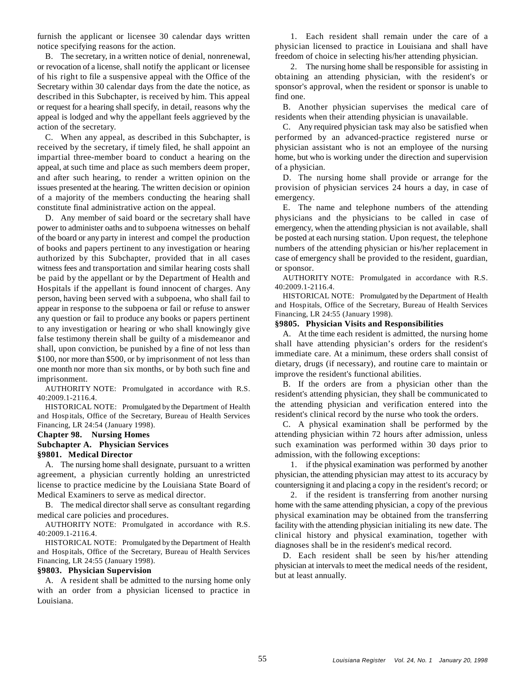notice specifying reasons for the action. physician licensed to practice in Louisiana and shall have

or revocation of a license, shall notify the applicant or licensee 2. The nursing home shall be responsible for assisting in of his right to file a suspensive appeal with the Office of the obtaining an attending physician, with the resident's or Secretary within 30 calendar days from the date the notice, as sponsor's approval, when the resident or sponsor is unable to described in this Subchapter, is received by him. This appeal find one. or request for a hearing shall specify, in detail, reasons why the B. Another physician supervises the medical care of appeal is lodged and why the appellant feels aggrieved by the residents when their attending physician is unavailable. action of the secretary. C. Any required physician task may also be satisfied when

appeal, at such time and place as such members deem proper, of a physician. and after such hearing, to render a written opinion on the D. The nursing home shall provide or arrange for the issues presented at the hearing. The written decision or opinion provision of physician services 24 hours a day, in case of of a majority of the members conducting the hearing shall emergency. constitute final administrative action on the appeal. E. The name and telephone numbers of the attending

power to administer oaths and to subpoena witnesses on behalf emergency, when the attending physician is not available, shall of the board or any party in interest and compel the production be posted at each nursing station. Upon request, the telephone of books and papers pertinent to any investigation or hearing numbers of the attending physician or his/her replacement in authorized by this Subchapter, provided that in all cases case of emergency shall be provided to the resident, guardian, witness fees and transportation and similar hearing costs shall or sponsor. be paid by the appellant or by the Department of Health and Hospitals if the appellant is found innocent of charges. Any person, having been served with a subpoena, who shall fail to appear in response to the subpoena or fail or refuse to answer any question or fail to produce any books or papers pertinent to any investigation or hearing or who shall knowingly give false testimony therein shall be guilty of a misdemeanor and shall, upon conviction, be punished by a fine of not less than \$100, nor more than \$500, or by imprisonment of not less than one month nor more than six months, or by both such fine and imprisonment.

AUTHORITY NOTE: Promulgated in accordance with R.S. 40:2009.1-2116.4.

HISTORICAL NOTE: Promulgated by the Department of Health and Hospitals, Office of the Secretary, Bureau of Health Services Financing, LR 24:54 (January 1998).

# **Chapter 98. Nursing Homes**

### **Subchapter A. Physician Services**

#### **§9801. Medical Director**

agreement, a physician currently holding an unrestricted physician, the attending physician may attest to its accuracy by license to practice medicine by the Louisiana State Board of countersigning it and placing a copy in the resident's record; or Medical Examiners to serve as medical director. 2. if the resident is transferring from another nursing

AUTHORITY NOTE: Promulgated in accordance with R.S. 40:2009.1-2116.4.

HISTORICAL NOTE: Promulgated by the Department of Health and Hospitals, Office of the Secretary, Bureau of Health Services Financing, LR 24:55 (January 1998).

### **§9803. Physician Supervision**

A. A resident shall be admitted to the nursing home only with an order from a physician licensed to practice in Louisiana.

furnish the applicant or licensee 30 calendar days written 1. Each resident shall remain under the care of a B. The secretary, in a written notice of denial, nonrenewal, freedom of choice in selecting his/her attending physician.

C. When any appeal, as described in this Subchapter, is performed by an advanced-practice registered nurse or received by the secretary, if timely filed, he shall appoint an physician assistant who is not an employee of the nursing impartial three-member board to conduct a hearing on the home, but who is working under the direction and supervision

D. Any member of said board or the secretary shall have physicians and the physicians to be called in case of

AUTHORITY NOTE: Promulgated in accordance with R.S. 40:2009.1-2116.4.

HISTORICAL NOTE: Promulgated by the Department of Health and Hospitals, Office of the Secretary, Bureau of Health Services Financing, LR 24:55 (January 1998).

# **§9805. Physician Visits and Responsibilities**

A. At the time each resident is admitted, the nursing home shall have attending physician's orders for the resident's immediate care. At a minimum, these orders shall consist of dietary, drugs (if necessary), and routine care to maintain or improve the resident's functional abilities.

B. If the orders are from a physician other than the resident's attending physician, they shall be communicated to the attending physician and verification entered into the resident's clinical record by the nurse who took the orders.

C. A physical examination shall be performed by the attending physician within 72 hours after admission, unless such examination was performed within 30 days prior to admission, with the following exceptions:

A. The nursing home shall designate, pursuant to a written 1. if the physical examination was performed by another

B. The medical director shall serve as consultant regarding home with the same attending physician, a copy of the previous medical care policies and procedures. physical examination may be obtained from the transferring facility with the attending physician initialing its new date. The clinical history and physical examination, together with diagnoses shall be in the resident's medical record.

> D. Each resident shall be seen by his/her attending physician at intervals to meet the medical needs of the resident, but at least annually.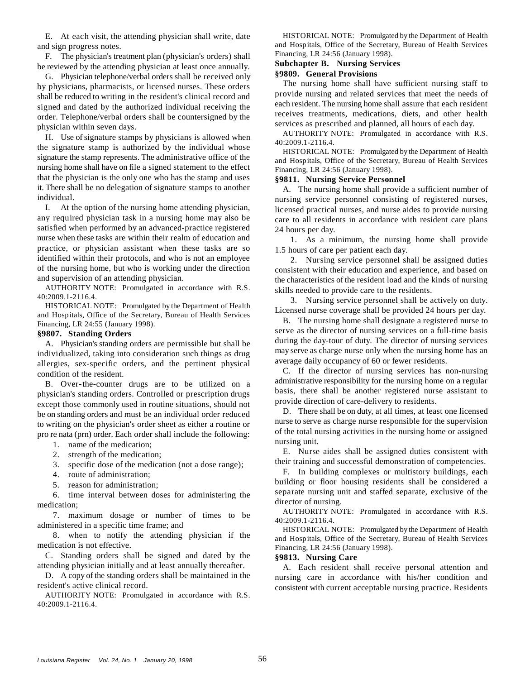E. At each visit, the attending physician shall write, date and sign progress notes.

F. The physician's treatment plan (physician's orders) shall be reviewed by the attending physician at least once annually.

G. Physician telephone/verbal orders shall be received only by physicians, pharmacists, or licensed nurses. These orders shall be reduced to writing in the resident's clinical record and signed and dated by the authorized individual receiving the order. Telephone/verbal orders shall be countersigned by the physician within seven days.

H. Use of signature stamps by physicians is allowed when the signature stamp is authorized by the individual whose signature the stamp represents. The administrative office of the nursing home shall have on file a signed statement to the effect that the physician is the only one who has the stamp and uses it. There shall be no delegation of signature stamps to another individual.

I. At the option of the nursing home attending physician, any required physician task in a nursing home may also be satisfied when performed by an advanced-practice registered nurse when these tasks are within their realm of education and practice, or physician assistant when these tasks are so identified within their protocols, and who is not an employee of the nursing home, but who is working under the direction and supervision of an attending physician.

AUTHORITY NOTE: Promulgated in accordance with R.S. 40:2009.1-2116.4.

HISTORICAL NOTE: Promulgated by the Department of Health and Hospitals, Office of the Secretary, Bureau of Health Services Financing, LR 24:55 (January 1998).

### **§9807. Standing Orders**

A. Physician's standing orders are permissible but shall be individualized, taking into consideration such things as drug allergies, sex-specific orders, and the pertinent physical condition of the resident.

B. Over-the-counter drugs are to be utilized on a physician's standing orders. Controlled or prescription drugs except those commonly used in routine situations, should not be on standing orders and must be an individual order reduced to writing on the physician's order sheet as either a routine or pro re nata (prn) order. Each order shall include the following:

- 1. name of the medication;
- 2. strength of the medication;
- 3. specific dose of the medication (not a dose range);
- 4. route of administration;
- 5. reason for administration;

6. time interval between doses for administering the medication;

7. maximum dosage or number of times to be administered in a specific time frame; and

8. when to notify the attending physician if the medication is not effective.

C. Standing orders shall be signed and dated by the attending physician initially and at least annually thereafter.

D. A copy of the standing orders shall be maintained in the resident's active clinical record.

AUTHORITY NOTE: Promulgated in accordance with R.S. 40:2009.1-2116.4.

HISTORICAL NOTE: Promulgated by the Department of Health and Hospitals, Office of the Secretary, Bureau of Health Services Financing, LR 24:56 (January 1998).

# **Subchapter B. Nursing Services**

# **§9809. General Provisions**

The nursing home shall have sufficient nursing staff to provide nursing and related services that meet the needs of each resident. The nursing home shall assure that each resident receives treatments, medications, diets, and other health services as prescribed and planned, all hours of each day.

AUTHORITY NOTE: Promulgated in accordance with R.S. 40:2009.1-2116.4.

HISTORICAL NOTE: Promulgated by the Department of Health and Hospitals, Office of the Secretary, Bureau of Health Services Financing, LR 24:56 (January 1998).

## **§9811. Nursing Service Personnel**

A. The nursing home shall provide a sufficient number of nursing service personnel consisting of registered nurses, licensed practical nurses, and nurse aides to provide nursing care to all residents in accordance with resident care plans 24 hours per day.

1. As a minimum, the nursing home shall provide 1.5 hours of care per patient each day.

2. Nursing service personnel shall be assigned duties consistent with their education and experience, and based on the characteristics of the resident load and the kinds of nursing skills needed to provide care to the residents.

3. Nursing service personnel shall be actively on duty. Licensed nurse coverage shall be provided 24 hours per day.

B. The nursing home shall designate a registered nurse to serve as the director of nursing services on a full-time basis during the day-tour of duty. The director of nursing services may serve as charge nurse only when the nursing home has an average daily occupancy of 60 or fewer residents.

C. If the director of nursing services has non-nursing administrative responsibility for the nursing home on a regular basis, there shall be another registered nurse assistant to provide direction of care-delivery to residents.

D. There shall be on duty, at all times, at least one licensed nurse to serve as charge nurse responsible for the supervision of the total nursing activities in the nursing home or assigned nursing unit.

E. Nurse aides shall be assigned duties consistent with their training and successful demonstration of competencies.

F. In building complexes or multistory buildings, each building or floor housing residents shall be considered a separate nursing unit and staffed separate, exclusive of the director of nursing.

AUTHORITY NOTE: Promulgated in accordance with R.S. 40:2009.1-2116.4.

HISTORICAL NOTE: Promulgated by the Department of Health and Hospitals, Office of the Secretary, Bureau of Health Services Financing, LR 24:56 (January 1998).

# **§9813. Nursing Care**

A. Each resident shall receive personal attention and nursing care in accordance with his/her condition and consistent with current acceptable nursing practice. Residents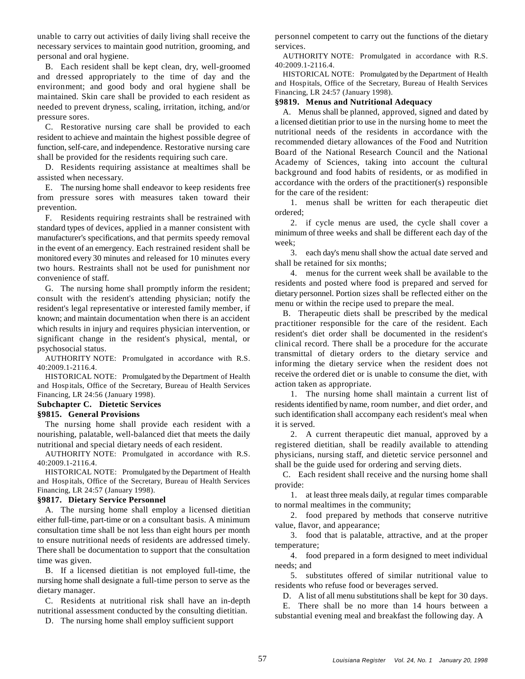unable to carry out activities of daily living shall receive the personnel competent to carry out the functions of the dietary necessary services to maintain good nutrition, grooming, and services. personal and oral hygiene.

B. Each resident shall be kept clean, dry, well-groomed and dressed appropriately to the time of day and the environment; and good body and oral hygiene shall be maintained. Skin care shall be provided to each resident as needed to prevent dryness, scaling, irritation, itching, and/or pressure sores.

C. Restorative nursing care shall be provided to each resident to achieve and maintain the highest possible degree of function, self-care, and independence. Restorative nursing care shall be provided for the residents requiring such care.

D. Residents requiring assistance at mealtimes shall be assisted when necessary.

E. The nursing home shall endeavor to keep residents free from pressure sores with measures taken toward their prevention.

F. Residents requiring restraints shall be restrained with standard types of devices, applied in a manner consistent with manufacturer's specifications, and that permits speedy removal in the event of an emergency. Each restrained resident shall be monitored every 30 minutes and released for 10 minutes every two hours. Restraints shall not be used for punishment nor convenience of staff.

G. The nursing home shall promptly inform the resident; consult with the resident's attending physician; notify the resident's legal representative or interested family member, if known; and maintain documentation when there is an accident which results in injury and requires physician intervention, or significant change in the resident's physical, mental, or psychosocial status.

AUTHORITY NOTE: Promulgated in accordance with R.S. 40:2009.1-2116.4.

HISTORICAL NOTE: Promulgated by the Department of Health and Hospitals, Office of the Secretary, Bureau of Health Services Financing, LR 24:56 (January 1998).

# **Subchapter C. Dietetic Services**

# **§9815. General Provisions**

The nursing home shall provide each resident with a it is served. nourishing, palatable, well-balanced diet that meets the daily 2. A current therapeutic diet manual, approved by a nutritional and special dietary needs of each resident. registered dietitian, shall be readily available to attending

AUTHORITY NOTE: Promulgated in accordance with R.S. 40:2009.1-2116.4.

HISTORICAL NOTE: Promulgated by the Department of Health and Hospitals, Office of the Secretary, Bureau of Health Services Financing, LR 24:57 (January 1998).

#### **§9817. Dietary Service Personnel**

A. The nursing home shall employ a licensed dietitian either full-time, part-time or on a consultant basis. A minimum consultation time shall be not less than eight hours per month to ensure nutritional needs of residents are addressed timely. There shall be documentation to support that the consultation time was given.

B. If a licensed dietitian is not employed full-time, the nursing home shall designate a full-time person to serve as the dietary manager.

C. Residents at nutritional risk shall have an in-depth nutritional assessment conducted by the consulting dietitian.

D. The nursing home shall employ sufficient support

AUTHORITY NOTE: Promulgated in accordance with R.S. 40:2009.1-2116.4.

HISTORICAL NOTE: Promulgated by the Department of Health and Hospitals, Office of the Secretary, Bureau of Health Services Financing, LR 24:57 (January 1998).

# **§9819. Menus and Nutritional Adequacy**

A. Menus shall be planned, approved, signed and dated by a licensed dietitian prior to use in the nursing home to meet the nutritional needs of the residents in accordance with the recommended dietary allowances of the Food and Nutrition Board of the National Research Council and the National Academy of Sciences, taking into account the cultural background and food habits of residents, or as modified in accordance with the orders of the practitioner(s) responsible for the care of the resident:

1. menus shall be written for each therapeutic diet ordered;

2. if cycle menus are used, the cycle shall cover a minimum of three weeks and shall be different each day of the week;

3. each day's menu shall show the actual date served and shall be retained for six months;

4. menus for the current week shall be available to the residents and posted where food is prepared and served for dietary personnel. Portion sizes shall be reflected either on the menu or within the recipe used to prepare the meal.

B. Therapeutic diets shall be prescribed by the medical practitioner responsible for the care of the resident. Each resident's diet order shall be documented in the resident's clinical record. There shall be a procedure for the accurate transmittal of dietary orders to the dietary service and informing the dietary service when the resident does not receive the ordered diet or is unable to consume the diet, with action taken as appropriate.

1. The nursing home shall maintain a current list of residents identified by name, room number, and diet order, and such identification shall accompany each resident's meal when

physicians, nursing staff, and dietetic service personnel and shall be the guide used for ordering and serving diets.

C. Each resident shall receive and the nursing home shall provide:

1. at least three meals daily, at regular times comparable to normal mealtimes in the community;

2. food prepared by methods that conserve nutritive value, flavor, and appearance;

3. food that is palatable, attractive, and at the proper temperature;

4. food prepared in a form designed to meet individual needs; and

5. substitutes offered of similar nutritional value to residents who refuse food or beverages served.

D. A list of all menu substitutions shall be kept for 30 days.

E. There shall be no more than 14 hours between a substantial evening meal and breakfast the following day. A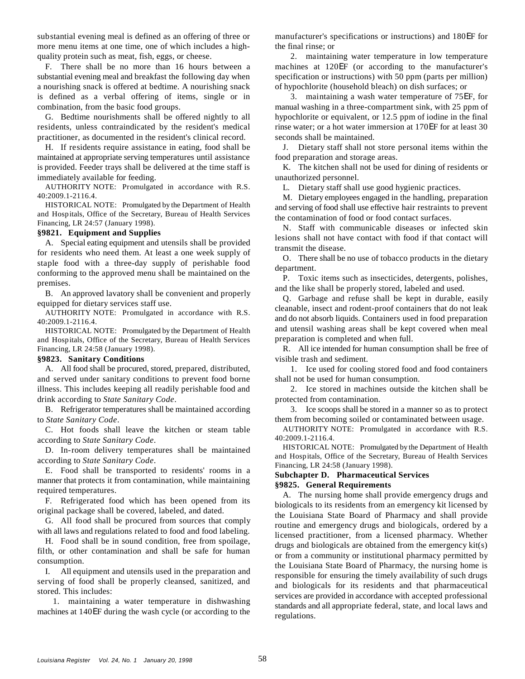substantial evening meal is defined as an offering of three or manufacturer's specifications or instructions) and 180EF for more menu items at one time, one of which includes a high-<br>the final rinse; or quality protein such as meat, fish, eggs, or cheese. 2. maintaining water temperature in low temperature

substantial evening meal and breakfast the following day when specification or instructions) with 50 ppm (parts per million) a nourishing snack is offered at bedtime. A nourishing snack of hypochlorite (household bleach) on dish surfaces; or is defined as a verbal offering of items, single or in 3. maintaining a wash water temperature of 75EF, for

residents, unless contraindicated by the resident's medical rinse water; or a hot water immersion at 170EF for at least 30 practitioner, as documented in the resident's clinical record. seconds shall be maintained.

H. If residents require assistance in eating, food shall be J. Dietary staff shall not store personal items within the maintained at appropriate serving temperatures until assistance food preparation and storage areas. is provided. Feeder trays shall be delivered at the time staff is K. The kitchen shall not be used for dining of residents or immediately available for feeding. The same state of the state of the state of the state of the state of the state of the state of the state of the state of the state of the state of the state of the state of the state of

AUTHORITY NOTE: Promulgated in accordance with R.S. 40:2009.1-2116.4.

HISTORICAL NOTE: Promulgated by the Department of Health and Hospitals, Office of the Secretary, Bureau of Health Services Financing, LR 24:57 (January 1998).

# **§9821. Equipment and Supplies**

A. Special eating equipment and utensils shall be provided for residents who need them. At least a one week supply of staple food with a three-day supply of perishable food conforming to the approved menu shall be maintained on the premises.

B. An approved lavatory shall be convenient and properly equipped for dietary services staff use.

AUTHORITY NOTE: Promulgated in accordance with R.S. 40:2009.1-2116.4.

HISTORICAL NOTE: Promulgated by the Department of Health and Hospitals, Office of the Secretary, Bureau of Health Services Financing, LR 24:58 (January 1998). R. All ice intended for human consumption shall be free of

# **§9823. Sanitary Conditions** visible trash and sediment.

A. All food shall be procured, stored, prepared, distributed, and served under sanitary conditions to prevent food borne illness. This includes keeping all readily perishable food and drink according to *State Sanitary Code*. protected from contamination.

to *State Sanitary Code*.

C. Hot foods shall leave the kitchen or steam table according to *State Sanitary Code*.

D. In-room delivery temperatures shall be maintained according to *State Sanitary Code*.

E. Food shall be transported to residents' rooms in a manner that protects it from contamination, while maintaining required temperatures.

F. Refrigerated food which has been opened from its original package shall be covered, labeled, and dated.

G. All food shall be procured from sources that comply with all laws and regulations related to food and food labeling.

H. Food shall be in sound condition, free from spoilage, filth, or other contamination and shall be safe for human consumption.

I. All equipment and utensils used in the preparation and serving of food shall be properly cleansed, sanitized, and stored. This includes:

1. maintaining a water temperature in dishwashing machines at 140EF during the wash cycle (or according to the

F. There shall be no more than 16 hours between a machines at 120EF (or according to the manufacturer's

combination, from the basic food groups. manual washing in a three-compartment sink, with 25 ppm of G. Bedtime nourishments shall be offered nightly to all hypochlorite or equivalent, or 12.5 ppm of iodine in the final

L. Dietary staff shall use good hygienic practices.

M. Dietary employees engaged in the handling, preparation and serving of food shall use effective hair restraints to prevent the contamination of food or food contact surfaces.

N. Staff with communicable diseases or infected skin lesions shall not have contact with food if that contact will transmit the disease.

O. There shall be no use of tobacco products in the dietary department.

P. Toxic items such as insecticides, detergents, polishes, and the like shall be properly stored, labeled and used.

Q. Garbage and refuse shall be kept in durable, easily cleanable, insect and rodent-proof containers that do not leak and do not absorb liquids. Containers used in food preparation and utensil washing areas shall be kept covered when meal preparation is completed and when full.

1. Ice used for cooling stored food and food containers shall not be used for human consumption.

2. Ice stored in machines outside the kitchen shall be

B. Refrigerator temperatures shall be maintained according 3. Ice scoops shall be stored in a manner so as to protect them from becoming soiled or contaminated between usage.

AUTHORITY NOTE: Promulgated in accordance with R.S. 40:2009.1-2116.4.

HISTORICAL NOTE: Promulgated by the Department of Health and Hospitals, Office of the Secretary, Bureau of Health Services Financing, LR 24:58 (January 1998).

# **Subchapter D. Pharmaceutical Services §9825. General Requirements**

A. The nursing home shall provide emergency drugs and biologicals to its residents from an emergency kit licensed by the Louisiana State Board of Pharmacy and shall provide routine and emergency drugs and biologicals, ordered by a licensed practitioner, from a licensed pharmacy. Whether drugs and biologicals are obtained from the emergency kit(s) or from a community or institutional pharmacy permitted by the Louisiana State Board of Pharmacy, the nursing home is responsible for ensuring the timely availability of such drugs and biologicals for its residents and that pharmaceutical services are provided in accordance with accepted professional standards and all appropriate federal, state, and local laws and regulations.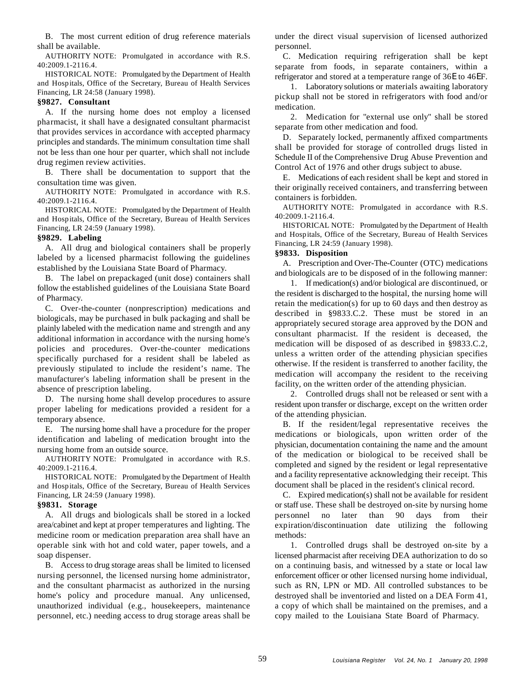B. The most current edition of drug reference materials under the direct visual supervision of licensed authorized shall be available. personnel.

AUTHORITY NOTE: Promulgated in accordance with R.S. 40:2009.1-2116.4.

HISTORICAL NOTE: Promulgated by the Department of Health and Hospitals, Office of the Secretary, Bureau of Health Services Financing, LR 24:58 (January 1998).

# **§9827. Consultant**

A. If the nursing home does not employ a licensed pharmacist, it shall have a designated consultant pharmacist that provides services in accordance with accepted pharmacy principles and standards. The minimum consultation time shall not be less than one hour per quarter, which shall not include drug regimen review activities.

B. There shall be documentation to support that the consultation time was given.

AUTHORITY NOTE: Promulgated in accordance with R.S. 40:2009.1-2116.4.

HISTORICAL NOTE: Promulgated by the Department of Health and Hospitals, Office of the Secretary, Bureau of Health Services Financing, LR 24:59 (January 1998).

### **§9829. Labeling**

A. All drug and biological containers shall be properly labeled by a licensed pharmacist following the guidelines established by the Louisiana State Board of Pharmacy.

B. The label on prepackaged (unit dose) containers shall follow the established guidelines of the Louisiana State Board of Pharmacy.

C. Over-the-counter (nonprescription) medications and biologicals, may be purchased in bulk packaging and shall be plainly labeled with the medication name and strength and any additional information in accordance with the nursing home's policies and procedures. Over-the-counter medications specifically purchased for a resident shall be labeled as previously stipulated to include the resident's name. The manufacturer's labeling information shall be present in the absence of prescription labeling.

D. The nursing home shall develop procedures to assure proper labeling for medications provided a resident for a temporary absence.

E. The nursing home shall have a procedure for the proper identification and labeling of medication brought into the nursing home from an outside source.

AUTHORITY NOTE: Promulgated in accordance with R.S. 40:2009.1-2116.4.

HISTORICAL NOTE: Promulgated by the Department of Health and Hospitals, Office of the Secretary, Bureau of Health Services Financing, LR 24:59 (January 1998). C. Expired medication(s) shall not be available for resident

A. All drugs and biologicals shall be stored in a locked area/cabinet and kept at proper temperatures and lighting. The medicine room or medication preparation area shall have an operable sink with hot and cold water, paper towels, and a soap dispenser.

B. Access to drug storage areas shall be limited to licensed nursing personnel, the licensed nursing home administrator, and the consultant pharmacist as authorized in the nursing home's policy and procedure manual. Any unlicensed, unauthorized individual (e.g., housekeepers, maintenance personnel, etc.) needing access to drug storage areas shall be

C. Medication requiring refrigeration shall be kept separate from foods, in separate containers, within a refrigerator and stored at a temperature range of 36E to 46EF.

1. Laboratory solutions or materials awaiting laboratory pickup shall not be stored in refrigerators with food and/or medication.

2. Medication for "external use only" shall be stored separate from other medication and food.

D. Separately locked, permanently affixed compartments shall be provided for storage of controlled drugs listed in Schedule II of the Comprehensive Drug Abuse Prevention and Control Act of 1976 and other drugs subject to abuse.

E. Medications of each resident shall be kept and stored in their originally received containers, and transferring between containers is forbidden.

AUTHORITY NOTE: Promulgated in accordance with R.S. 40:2009.1-2116.4.

HISTORICAL NOTE: Promulgated by the Department of Health and Hospitals, Office of the Secretary, Bureau of Health Services Financing, LR 24:59 (January 1998).

### **§9833. Disposition**

A. Prescription and Over-The-Counter (OTC) medications and biologicals are to be disposed of in the following manner:

1. If medication(s) and/or biological are discontinued, or the resident is discharged to the hospital, the nursing home will retain the medication(s) for up to 60 days and then destroy as described in §9833.C.2. These must be stored in an appropriately secured storage area approved by the DON and consultant pharmacist. If the resident is deceased, the medication will be disposed of as described in §9833.C.2, unless a written order of the attending physician specifies otherwise. If the resident is transferred to another facility, the medication will accompany the resident to the receiving facility, on the written order of the attending physician.

2. Controlled drugs shall not be released or sent with a resident upon transfer or discharge, except on the written order of the attending physician.

B. If the resident/legal representative receives the medications or biologicals, upon written order of the physician, documentation containing the name and the amount of the medication or biological to be received shall be completed and signed by the resident or legal representative and a facility representative acknowledging their receipt. This document shall be placed in the resident's clinical record.

**§9831. Storage** or staff use. These shall be destroyed on-site by nursing home personnel no later than 90 days from their expiration/discontinuation date utilizing the following methods:

> 1. Controlled drugs shall be destroyed on-site by a licensed pharmacist after receiving DEA authorization to do so on a continuing basis, and witnessed by a state or local law enforcement officer or other licensed nursing home individual, such as RN, LPN or MD. All controlled substances to be destroyed shall be inventoried and listed on a DEA Form 41, a copy of which shall be maintained on the premises, and a copy mailed to the Louisiana State Board of Pharmacy.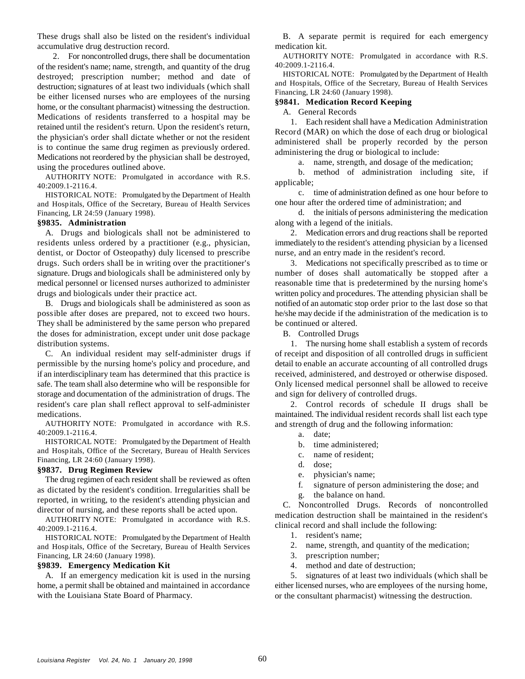These drugs shall also be listed on the resident's individual B. A separate permit is required for each emergency accumulative drug destruction record. medication kit.

2. For noncontrolled drugs, there shall be documentation of the resident's name; name, strength, and quantity of the drug destroyed; prescription number; method and date of destruction; signatures of at least two individuals (which shall be either licensed nurses who are employees of the nursing home, or the consultant pharmacist) witnessing the destruction. Medications of residents transferred to a hospital may be retained until the resident's return. Upon the resident's return, the physician's order shall dictate whether or not the resident is to continue the same drug regimen as previously ordered. Medications not reordered by the physician shall be destroyed, using the procedures outlined above.

AUTHORITY NOTE: Promulgated in accordance with R.S. 40:2009.1-2116.4.

HISTORICAL NOTE: Promulgated by the Department of Health and Hospitals, Office of the Secretary, Bureau of Health Services Financing, LR 24:59 (January 1998).

### **§9835. Administration**

residents unless ordered by a practitioner (e.g., physician, immediately to the resident's attending physician by a licensed dentist, or Doctor of Osteopathy) duly licensed to prescribe nurse, and an entry made in the resident's record. drugs. Such orders shall be in writing over the practitioner's 3. Medications not specifically prescribed as to time or signature. Drugs and biologicals shall be administered only by number of doses shall automatically be stopped after a medical personnel or licensed nurses authorized to administer reasonable time that is predetermined by the nursing home's drugs and biologicals under their practice act. written policy and procedures. The attending physician shall be

possible after doses are prepared, not to exceed two hours. he/she may decide if the administration of the medication is to They shall be administered by the same person who prepared be continued or altered. the doses for administration, except under unit dose package B. Controlled Drugs distribution systems. 1. The nursing home shall establish a system of records

permissible by the nursing home's policy and procedure, and detail to enable an accurate accounting of all controlled drugs if an interdisciplinary team has determined that this practice is received, administered, and destroyed or otherwise disposed. safe. The team shall also determine who will be responsible for Only licensed medical personnel shall be allowed to receive storage and documentation of the administration of drugs. The and sign for delivery of controlled drugs. resident's care plan shall reflect approval to self-administer 2. Control records of schedule II drugs shall be medications. The individual resident records shall list each type maintained. The individual resident records shall list each type

AUTHORITY NOTE: Promulgated in accordance with R.S. 40:2009.1-2116.4.

HISTORICAL NOTE: Promulgated by the Department of Health and Hospitals, Office of the Secretary, Bureau of Health Services Financing, LR 24:60 (January 1998).

#### **§9837. Drug Regimen Review**

The drug regimen of each resident shall be reviewed as often as dictated by the resident's condition. Irregularities shall be reported, in writing, to the resident's attending physician and director of nursing, and these reports shall be acted upon.

AUTHORITY NOTE: Promulgated in accordance with R.S. 40:2009.1-2116.4.

HISTORICAL NOTE: Promulgated by the Department of Health and Hospitals, Office of the Secretary, Bureau of Health Services Financing, LR 24:60 (January 1998). 3. prescription number;

A. If an emergency medication kit is used in the nursing home, a permit shall be obtained and maintained in accordance with the Louisiana State Board of Pharmacy.

AUTHORITY NOTE: Promulgated in accordance with R.S. 40:2009.1-2116.4.

HISTORICAL NOTE: Promulgated by the Department of Health and Hospitals, Office of the Secretary, Bureau of Health Services Financing, LR 24:60 (January 1998).

# **§9841. Medication Record Keeping**

A. General Records

1. Each resident shall have a Medication Administration Record (MAR) on which the dose of each drug or biological administered shall be properly recorded by the person administering the drug or biological to include:

a. name, strength, and dosage of the medication;

b. method of administration including site, if applicable;

c. time of administration defined as one hour before to one hour after the ordered time of administration; and

d. the initials of persons administering the medication along with a legend of the initials.

A. Drugs and biologicals shall not be administered to 2. Medication errors and drug reactions shall be reported

B. Drugs and biologicals shall be administered as soon as notified of an automatic stop order prior to the last dose so that

C. An individual resident may self-administer drugs if of receipt and disposition of all controlled drugs in sufficient

and strength of drug and the following information:

- a. date;
- b. time administered;
- c. name of resident;
- d. dose;
- e. physician's name;
- f. signature of person administering the dose; and
- g. the balance on hand.

C. Noncontrolled Drugs. Records of noncontrolled medication destruction shall be maintained in the resident's clinical record and shall include the following:

- 1. resident's name;
- 2. name, strength, and quantity of the medication;
- 
- **§9839. Emergency Medication Kit** 4. method and date of destruction;

5. signatures of at least two individuals (which shall be either licensed nurses, who are employees of the nursing home, or the consultant pharmacist) witnessing the destruction.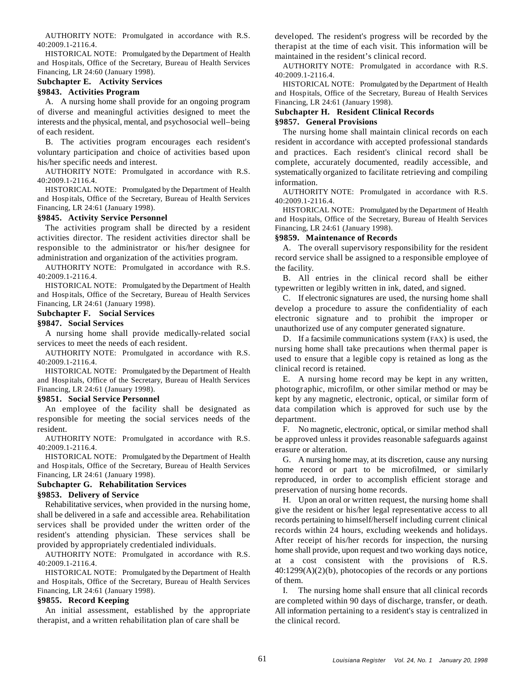AUTHORITY NOTE: Promulgated in accordance with R.S. 40:2009.1-2116.4.

HISTORICAL NOTE: Promulgated by the Department of Health and Hospitals, Office of the Secretary, Bureau of Health Services Financing, LR 24:60 (January 1998).

# **Subchapter E. Activity Services**

# **§9843. Activities Program**

A. A nursing home shall provide for an ongoing program of diverse and meaningful activities designed to meet the interests and the physical, mental, and psychosocial well–being of each resident. The nursing home shall maintain clinical records on each

voluntary participation and choice of activities based upon and practices. Each resident's clinical record shall be his/her specific needs and interest. complete, accurately documented, readily accessible, and

AUTHORITY NOTE: Promulgated in accordance with R.S. 40:2009.1-2116.4.

HISTORICAL NOTE: Promulgated by the Department of Health and Hospitals, Office of the Secretary, Bureau of Health Services Financing, LR 24:61 (January 1998).

# **§9845. Activity Service Personnel**

The activities program shall be directed by a resident activities director. The resident activities director shall be responsible to the administrator or his/her designee for A. The overall supervisory responsibility for the resident administration and organization of the activities program. record service shall be assigned to a responsible employee of

AUTHORITY NOTE: Promulgated in accordance with R.S. 40:2009.1-2116.4.

HISTORICAL NOTE: Promulgated by the Department of Health and Hospitals, Office of the Secretary, Bureau of Health Services Financing, LR 24:61 (January 1998).

**Subchapter F. Social Services**

# **§9847. Social Services**

A nursing home shall provide medically-related social services to meet the needs of each resident.

AUTHORITY NOTE: Promulgated in accordance with R.S. 40:2009.1-2116.4.

HISTORICAL NOTE: Promulgated by the Department of Health and Hospitals, Office of the Secretary, Bureau of Health Services Financing, LR 24:61 (January 1998). photographic, microfilm, or other similar method or may be

An employee of the facility shall be designated as responsible for meeting the social services needs of the resident.

AUTHORITY NOTE: Promulgated in accordance with R.S. 40:2009.1-2116.4.

HISTORICAL NOTE: Promulgated by the Department of Health and Hospitals, Office of the Secretary, Bureau of Health Services Financing, LR 24:61 (January 1998).

# **Subchapter G. Rehabilitation Services**

**§9853. Delivery of Service**

Rehabilitative services, when provided in the nursing home, shall be delivered in a safe and accessible area. Rehabilitation services shall be provided under the written order of the resident's attending physician. These services shall be provided by appropriately credentialed individuals.

AUTHORITY NOTE: Promulgated in accordance with R.S. 40:2009.1-2116.4.

HISTORICAL NOTE: Promulgated by the Department of Health and Hospitals, Office of the Secretary, Bureau of Health Services Financing, LR 24:61 (January 1998).

### **§9855. Record Keeping**

An initial assessment, established by the appropriate therapist, and a written rehabilitation plan of care shall be

developed. The resident's progress will be recorded by the therapist at the time of each visit. This information will be maintained in the resident's clinical record.

AUTHORITY NOTE: Promulgated in accordance with R.S. 40:2009.1-2116.4.

HISTORICAL NOTE: Promulgated by the Department of Health and Hospitals, Office of the Secretary, Bureau of Health Services Financing, LR 24:61 (January 1998).

# **Subchapter H. Resident Clinical Records §9857. General Provisions**

B. The activities program encourages each resident's resident in accordance with accepted professional standards systematically organized to facilitate retrieving and compiling information.

> AUTHORITY NOTE: Promulgated in accordance with R.S. 40:2009.1-2116.4.

> HISTORICAL NOTE: Promulgated by the Department of Health and Hospitals, Office of the Secretary, Bureau of Health Services Financing, LR 24:61 (January 1998).

### **§9859. Maintenance of Records**

the facility.

B. All entries in the clinical record shall be either typewritten or legibly written in ink, dated, and signed.

C. If electronic signatures are used, the nursing home shall develop a procedure to assure the confidentiality of each electronic signature and to prohibit the improper or unauthorized use of any computer generated signature.

D. If a facsimile communications system (FAX) is used, the nursing home shall take precautions when thermal paper is used to ensure that a legible copy is retained as long as the clinical record is retained.

**§9851. Social Service Personnel** kept by any magnetic, electronic, optical, or similar form of E. A nursing home record may be kept in any written, data compilation which is approved for such use by the department.

> F. No magnetic, electronic, optical, or similar method shall be approved unless it provides reasonable safeguards against erasure or alteration.

> G. A nursing home may, at its discretion, cause any nursing home record or part to be microfilmed, or similarly reproduced, in order to accomplish efficient storage and preservation of nursing home records.

> H. Upon an oral or written request, the nursing home shall give the resident or his/her legal representative access to all records pertaining to himself/herself including current clinical records within 24 hours, excluding weekends and holidays. After receipt of his/her records for inspection, the nursing home shall provide, upon request and two working days notice, at a cost consistent with the provisions of R.S. 40:1299(A)(2)(b), photocopies of the records or any portions of them.

> I. The nursing home shall ensure that all clinical records are completed within 90 days of discharge, transfer, or death. All information pertaining to a resident's stay is centralized in the clinical record.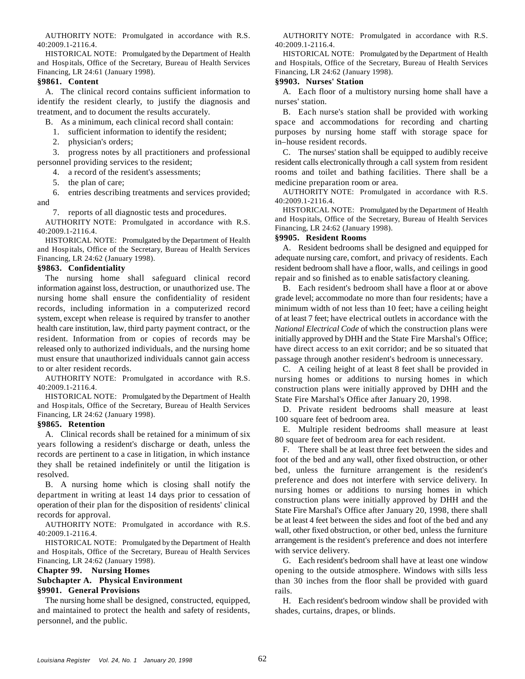40:2009.1-2116.4. 40:2009.1-2116.4.

and Hospitals, Office of the Secretary, Bureau of Health Services and Hospitals, Office of the Secretary, Bureau of Health Services Financing, LR 24:61 (January 1998). Financing, LR 24:62 (January 1998).

identify the resident clearly, to justify the diagnosis and nurses' station. treatment, and to document the results accurately. B. Each nurse's station shall be provided with working

- 
- 

- 
- 

6. entries describing treatments and services provided; and

7. reports of all diagnostic tests and procedures.

AUTHORITY NOTE: Promulgated in accordance with R.S. 40:2009.1-2116.4.

HISTORICAL NOTE: Promulgated by the Department of Health and Hospitals, Office of the Secretary, Bureau of Health Services Financing, LR 24:62 (January 1998).

# **§9863. Confidentiality**

The nursing home shall safeguard clinical record repair and so finished as to enable satisfactory cleaning. information against loss, destruction, or unauthorized use. The B. Each resident's bedroom shall have a floor at or above nursing home shall ensure the confidentiality of resident grade level; accommodate no more than four residents; have a records, including information in a computerized record minimum width of not less than 10 feet; have a ceiling height system, except when release is required by transfer to another of at least 7 feet; have electrical outlets in accordance with the health care institution, law, third party payment contract, or the resident. Information from or copies of records may be released only to authorized individuals, and the nursing home must ensure that unauthorized individuals cannot gain access to or alter resident records.

AUTHORITY NOTE: Promulgated in accordance with R.S. 40:2009.1-2116.4.

HISTORICAL NOTE: Promulgated by the Department of Health and Hospitals, Office of the Secretary, Bureau of Health Services Financing, LR 24:62 (January 1998).

# **§9865. Retention**

A. Clinical records shall be retained for a minimum of six years following a resident's discharge or death, unless the records are pertinent to a case in litigation, in which instance they shall be retained indefinitely or until the litigation is resolved.

B. A nursing home which is closing shall notify the department in writing at least 14 days prior to cessation of operation of their plan for the disposition of residents' clinical records for approval.

AUTHORITY NOTE: Promulgated in accordance with R.S. 40:2009.1-2116.4.

HISTORICAL NOTE: Promulgated by the Department of Health and Hospitals, Office of the Secretary, Bureau of Health Services Financing, LR 24:62 (January 1998).

# **Chapter 99. Nursing Homes Subchapter A. Physical Environment §9901. General Provisions**

The nursing home shall be designed, constructed, equipped, and maintained to protect the health and safety of residents, personnel, and the public.

AUTHORITY NOTE: Promulgated in accordance with R.S. AUTHORITY NOTE: Promulgated in accordance with R.S.

HISTORICAL NOTE: Promulgated by the Department of Health HISTORICAL NOTE: Promulgated by the Department of Health

# **§9861. Content §9903. Nurses' Station**

A. The clinical record contains sufficient information to A. Each floor of a multistory nursing home shall have a

B. As a minimum, each clinical record shall contain: space and accommodations for recording and charting 1. sufficient information to identify the resident; purposes by nursing home staff with storage space for 2. physician's orders; in–house resident records.

3. progress notes by all practitioners and professional C. The nurses' station shall be equipped to audibly receive personnel providing services to the resident; resident calls electronically through a call system from resident 4. a record of the resident's assessments; rooms and toilet and bathing facilities. There shall be a 5. the plan of care; medicine preparation room or area.

> AUTHORITY NOTE: Promulgated in accordance with R.S. 40:2009.1-2116.4.

> HISTORICAL NOTE: Promulgated by the Department of Health and Hospitals, Office of the Secretary, Bureau of Health Services Financing, LR 24:62 (January 1998).

### **§9905. Resident Rooms**

A. Resident bedrooms shall be designed and equipped for adequate nursing care, comfort, and privacy of residents. Each resident bedroom shall have a floor, walls, and ceilings in good

*National Electrical Code* of which the construction plans were initially approved by DHH and the State Fire Marshal's Office; have direct access to an exit corridor; and be so situated that passage through another resident's bedroom is unnecessary.

C. A ceiling height of at least 8 feet shall be provided in nursing homes or additions to nursing homes in which construction plans were initially approved by DHH and the State Fire Marshal's Office after January 20, 1998.

D. Private resident bedrooms shall measure at least 100 square feet of bedroom area.

E. Multiple resident bedrooms shall measure at least 80 square feet of bedroom area for each resident.

F. There shall be at least three feet between the sides and foot of the bed and any wall, other fixed obstruction, or other bed, unless the furniture arrangement is the resident's preference and does not interfere with service delivery. In nursing homes or additions to nursing homes in which construction plans were initially approved by DHH and the State Fire Marshal's Office after January 20, 1998, there shall be at least 4 feet between the sides and foot of the bed and any wall, other fixed obstruction, or other bed, unless the furniture arrangement is the resident's preference and does not interfere with service delivery.

G. Each resident's bedroom shall have at least one window opening to the outside atmosphere. Windows with sills less than 30 inches from the floor shall be provided with guard rails.

H. Each resident's bedroom window shall be provided with shades, curtains, drapes, or blinds.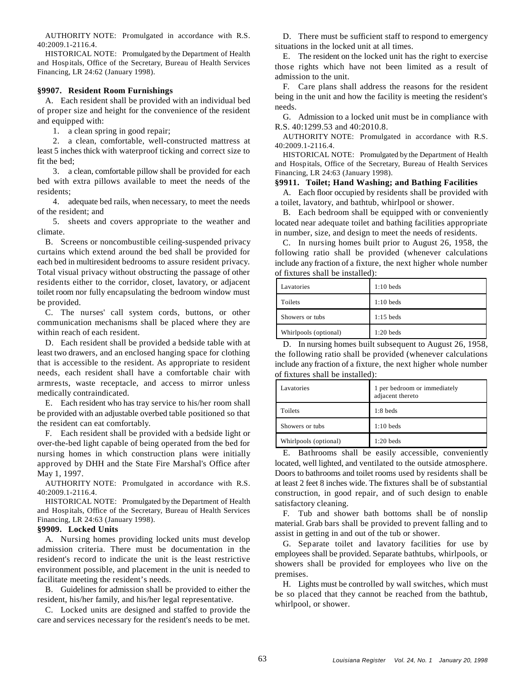AUTHORITY NOTE: Promulgated in accordance with R.S. 40:2009.1-2116.4.

HISTORICAL NOTE: Promulgated by the Department of Health and Hospitals, Office of the Secretary, Bureau of Health Services Financing, LR 24:62 (January 1998).

### **§9907. Resident Room Furnishings**

A. Each resident shall be provided with an individual bed of proper size and height for the convenience of the resident and equipped with:

1. a clean spring in good repair;

2. a clean, comfortable, well-constructed mattress at least 5 inches thick with waterproof ticking and correct size to fit the bed;

3. a clean, comfortable pillow shall be provided for each bed with extra pillows available to meet the needs of the residents;

4. adequate bed rails, when necessary, to meet the needs of the resident; and

5. sheets and covers appropriate to the weather and climate.

B. Screens or noncombustible ceiling-suspended privacy curtains which extend around the bed shall be provided for each bed in multiresident bedrooms to assure resident privacy. Total visual privacy without obstructing the passage of other residents either to the corridor, closet, lavatory, or adjacent toilet room nor fully encapsulating the bedroom window must be provided.

C. The nurses' call system cords, buttons, or other communication mechanisms shall be placed where they are within reach of each resident.

D. Each resident shall be provided a bedside table with at least two drawers, and an enclosed hanging space for clothing that is accessible to the resident. As appropriate to resident needs, each resident shall have a comfortable chair with armrests, waste receptacle, and access to mirror unless medically contraindicated.

E. Each resident who has tray service to his/her room shall be provided with an adjustable overbed table positioned so that the resident can eat comfortably.

F. Each resident shall be provided with a bedside light or over-the-bed light capable of being operated from the bed for nursing homes in which construction plans were initially approved by DHH and the State Fire Marshal's Office after May 1, 1997.

AUTHORITY NOTE: Promulgated in accordance with R.S. 40:2009.1-2116.4.

HISTORICAL NOTE: Promulgated by the Department of Health and Hospitals, Office of the Secretary, Bureau of Health Services Financing, LR 24:63 (January 1998).

# **§9909. Locked Units**

A. Nursing homes providing locked units must develop admission criteria. There must be documentation in the resident's record to indicate the unit is the least restrictive environment possible, and placement in the unit is needed to facilitate meeting the resident's needs.

B. Guidelines for admission shall be provided to either the resident, his/her family, and his/her legal representative.

C. Locked units are designed and staffed to provide the care and services necessary for the resident's needs to be met.

D. There must be sufficient staff to respond to emergency situations in the locked unit at all times.

E. The resident on the locked unit has the right to exercise those rights which have not been limited as a result of admission to the unit.

F. Care plans shall address the reasons for the resident being in the unit and how the facility is meeting the resident's needs.

G. Admission to a locked unit must be in compliance with R.S. 40:1299.53 and 40:2010.8.

AUTHORITY NOTE: Promulgated in accordance with R.S. 40:2009.1-2116.4.

HISTORICAL NOTE: Promulgated by the Department of Health and Hospitals, Office of the Secretary, Bureau of Health Services Financing, LR 24:63 (January 1998).

# **§9911. Toilet; Hand Washing; and Bathing Facilities**

A. Each floor occupied by residents shall be provided with a toilet, lavatory, and bathtub, whirlpool or shower.

B. Each bedroom shall be equipped with or conveniently located near adequate toilet and bathing facilities appropriate in number, size, and design to meet the needs of residents.

C. In nursing homes built prior to August 26, 1958, the following ratio shall be provided (whenever calculations include any fraction of a fixture, the next higher whole number of fixtures shall be installed):

| Lavatories                                                                                                                    | $1:10$ beds |
|-------------------------------------------------------------------------------------------------------------------------------|-------------|
| Toilets                                                                                                                       | $1:10$ beds |
| Showers or tubs                                                                                                               | $1:15$ beds |
| Whirlpools (optional)                                                                                                         | $1:20$ beds |
| ٠<br>$\mathbf{1}$<br>$\sim$ $\sim$ $\sim$ $\sim$ $\sim$ $\sim$<br>$\mathbf{1}$<br>$\sqrt{ }$<br>п.<br>$\mathbf r$<br>$\cdots$ |             |

D. In nursing homes built subsequent to August 26, 1958, the following ratio shall be provided (whenever calculations include any fraction of a fixture, the next higher whole number of fixtures shall be installed):

| Lavatories            | 1 per bedroom or immediately<br>adjacent thereto |
|-----------------------|--------------------------------------------------|
| Toilets               | $1:8$ beds                                       |
| Showers or tubs       | $1:10$ beds                                      |
| Whirlpools (optional) | $1:20$ beds                                      |

E. Bathrooms shall be easily accessible, conveniently located, well lighted, and ventilated to the outside atmosphere. Doors to bathrooms and toilet rooms used by residents shall be at least 2 feet 8 inches wide. The fixtures shall be of substantial construction, in good repair, and of such design to enable satisfactory cleaning.

F. Tub and shower bath bottoms shall be of nonslip material. Grab bars shall be provided to prevent falling and to assist in getting in and out of the tub or shower.

G. Separate toilet and lavatory facilities for use by employees shall be provided. Separate bathtubs, whirlpools, or showers shall be provided for employees who live on the premises.

H. Lights must be controlled by wall switches, which must be so placed that they cannot be reached from the bathtub, whirlpool, or shower.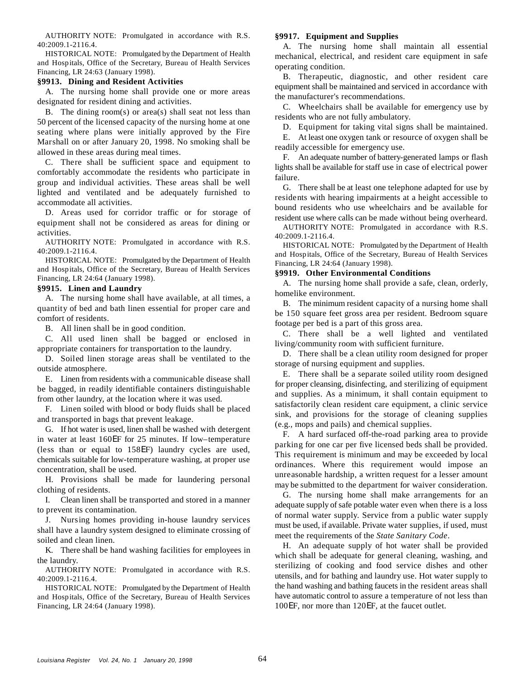AUTHORITY NOTE: Promulgated in accordance with R.S. 40:2009.1-2116.4.

HISTORICAL NOTE: Promulgated by the Department of Health and Hospitals, Office of the Secretary, Bureau of Health Services Financing, LR 24:63 (January 1998).

# **§9913. Dining and Resident Activities**

A. The nursing home shall provide one or more areas designated for resident dining and activities.

B. The dining room $(s)$  or area $(s)$  shall seat not less than 50 percent of the licensed capacity of the nursing home at one seating where plans were initially approved by the Fire Marshall on or after January 20, 1998. No smoking shall be allowed in these areas during meal times.

C. There shall be sufficient space and equipment to comfortably accommodate the residents who participate in group and individual activities. These areas shall be well lighted and ventilated and be adequately furnished to accommodate all activities.

D. Areas used for corridor traffic or for storage of equipment shall not be considered as areas for dining or activities.

AUTHORITY NOTE: Promulgated in accordance with R.S. 40:2009.1-2116.4.

HISTORICAL NOTE: Promulgated by the Department of Health and Hospitals, Office of the Secretary, Bureau of Health Services Financing, LR 24:64 (January 1998).

# **§9915. Linen and Laundry**

A. The nursing home shall have available, at all times, a quantity of bed and bath linen essential for proper care and comfort of residents.

B. All linen shall be in good condition.

C. All used linen shall be bagged or enclosed in appropriate containers for transportation to the laundry.

D. Soiled linen storage areas shall be ventilated to the outside atmosphere.

E. Linen from residents with a communicable disease shall be bagged, in readily identifiable containers distinguishable from other laundry, at the location where it was used.

F. Linen soiled with blood or body fluids shall be placed and transported in bags that prevent leakage.

G. If hot water is used, linen shall be washed with detergent in water at least 160EF for 25 minutes. If low–temperature (less than or equal to 158EF) laundry cycles are used, chemicals suitable for low-temperature washing, at proper use concentration, shall be used.

H. Provisions shall be made for laundering personal clothing of residents.

I. Clean linen shall be transported and stored in a manner to prevent its contamination.

J. Nursing homes providing in-house laundry services shall have a laundry system designed to eliminate crossing of soiled and clean linen.

K. There shall be hand washing facilities for employees in the laundry.

AUTHORITY NOTE: Promulgated in accordance with R.S. 40:2009.1-2116.4.

HISTORICAL NOTE: Promulgated by the Department of Health and Hospitals, Office of the Secretary, Bureau of Health Services Financing, LR 24:64 (January 1998).

# **§9917. Equipment and Supplies**

A. The nursing home shall maintain all essential mechanical, electrical, and resident care equipment in safe operating condition.

B. Therapeutic, diagnostic, and other resident care equipment shall be maintained and serviced in accordance with the manufacturer's recommendations.

C. Wheelchairs shall be available for emergency use by residents who are not fully ambulatory.

D. Equipment for taking vital signs shall be maintained.

E. At least one oxygen tank or resource of oxygen shall be readily accessible for emergency use.

F. An adequate number of battery-generated lamps or flash lights shall be available for staff use in case of electrical power failure.

G. There shall be at least one telephone adapted for use by residents with hearing impairments at a height accessible to bound residents who use wheelchairs and be available for resident use where calls can be made without being overheard.

AUTHORITY NOTE: Promulgated in accordance with R.S. 40:2009.1-2116.4.

HISTORICAL NOTE: Promulgated by the Department of Health and Hospitals, Office of the Secretary, Bureau of Health Services Financing, LR 24:64 (January 1998).

# **§9919. Other Environmental Conditions**

A. The nursing home shall provide a safe, clean, orderly, homelike environment.

B. The minimum resident capacity of a nursing home shall be 150 square feet gross area per resident. Bedroom square footage per bed is a part of this gross area.

C. There shall be a well lighted and ventilated living/community room with sufficient furniture.

D. There shall be a clean utility room designed for proper storage of nursing equipment and supplies.

E. There shall be a separate soiled utility room designed for proper cleansing, disinfecting, and sterilizing of equipment and supplies. As a minimum, it shall contain equipment to satisfactorily clean resident care equipment, a clinic service sink, and provisions for the storage of cleaning supplies (e.g., mops and pails) and chemical supplies.

F. A hard surfaced off-the-road parking area to provide parking for one car per five licensed beds shall be provided. This requirement is minimum and may be exceeded by local ordinances. Where this requirement would impose an unreasonable hardship, a written request for a lesser amount may be submitted to the department for waiver consideration.

G. The nursing home shall make arrangements for an adequate supply of safe potable water even when there is a loss of normal water supply. Service from a public water supply must be used, if available. Private water supplies, if used, must meet the requirements of the *State Sanitary Code*.

H. An adequate supply of hot water shall be provided which shall be adequate for general cleaning, washing, and sterilizing of cooking and food service dishes and other utensils, and for bathing and laundry use. Hot water supply to the hand washing and bathing faucets in the resident areas shall have automatic control to assure a temperature of not less than 100EF, nor more than 120EF, at the faucet outlet.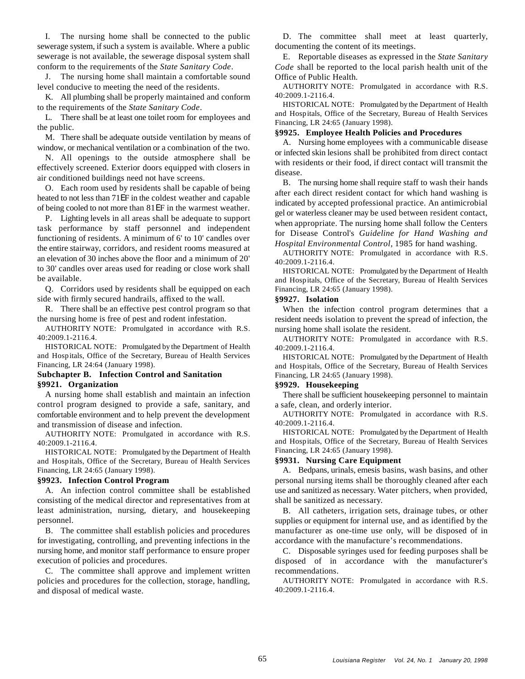sewerage system, if such a system is available. Where a public documenting the content of its meetings. sewerage is not available, the sewerage disposal system shall conform to the requirements of the *State Sanitary Code*.

J. The nursing home shall maintain a comfortable sound level conducive to meeting the need of the residents.

K. All plumbing shall be properly maintained and conform to the requirements of the *State Sanitary Code*.

L. There shall be at least one toilet room for employees and the public.

M. There shall be adequate outside ventilation by means of window, or mechanical ventilation or a combination of the two.

N. All openings to the outside atmosphere shall be effectively screened. Exterior doors equipped with closers in air conditioned buildings need not have screens.

O. Each room used by residents shall be capable of being heated to not less than 71EF in the coldest weather and capable of being cooled to not more than 81EF in the warmest weather.

P. Lighting levels in all areas shall be adequate to support task performance by staff personnel and independent functioning of residents. A minimum of 6' to 10' candles over the entire stairway, corridors, and resident rooms measured at an elevation of 30 inches above the floor and a minimum of 20' to 30' candles over areas used for reading or close work shall be available.

Q. Corridors used by residents shall be equipped on each side with firmly secured handrails, affixed to the wall.

R. There shall be an effective pest control program so that the nursing home is free of pest and rodent infestation.

AUTHORITY NOTE: Promulgated in accordance with R.S. 40:2009.1-2116.4.

HISTORICAL NOTE: Promulgated by the Department of Health and Hospitals, Office of the Secretary, Bureau of Health Services Financing, LR 24:64 (January 1998).

# **Subchapter B. Infection Control and Sanitation §9921. Organization**

A nursing home shall establish and maintain an infection control program designed to provide a safe, sanitary, and comfortable environment and to help prevent the development and transmission of disease and infection.

AUTHORITY NOTE: Promulgated in accordance with R.S. 40:2009.1-2116.4.

HISTORICAL NOTE: Promulgated by the Department of Health and Hospitals, Office of the Secretary, Bureau of Health Services Financing, LR 24:65 (January 1998). A. Bedpans, urinals, emesis basins, wash basins, and other

A. An infection control committee shall be established consisting of the medical director and representatives from at least administration, nursing, dietary, and housekeeping personnel.

B. The committee shall establish policies and procedures for investigating, controlling, and preventing infections in the nursing home, and monitor staff performance to ensure proper execution of policies and procedures.

C. The committee shall approve and implement written policies and procedures for the collection, storage, handling, and disposal of medical waste.

I. The nursing home shall be connected to the public D. The committee shall meet at least quarterly,

E. Reportable diseases as expressed in the *State Sanitary Code* shall be reported to the local parish health unit of the Office of Public Health.

AUTHORITY NOTE: Promulgated in accordance with R.S. 40:2009.1-2116.4.

HISTORICAL NOTE: Promulgated by the Department of Health and Hospitals, Office of the Secretary, Bureau of Health Services Financing, LR 24:65 (January 1998).

# **§9925. Employee Health Policies and Procedures**

A. Nursing home employees with a communicable disease or infected skin lesions shall be prohibited from direct contact with residents or their food, if direct contact will transmit the disease.

B. The nursing home shall require staff to wash their hands after each direct resident contact for which hand washing is indicated by accepted professional practice. An antimicrobial gel or waterless cleaner may be used between resident contact, when appropriate. The nursing home shall follow the Centers for Disease Control's *Guideline for Hand Washing and Hospital Environmental Control*, 1985 for hand washing.

AUTHORITY NOTE: Promulgated in accordance with R.S. 40:2009.1-2116.4.

HISTORICAL NOTE: Promulgated by the Department of Health and Hospitals, Office of the Secretary, Bureau of Health Services Financing, LR 24:65 (January 1998).

# **§9927. Isolation**

When the infection control program determines that a resident needs isolation to prevent the spread of infection, the nursing home shall isolate the resident.

AUTHORITY NOTE: Promulgated in accordance with R.S. 40:2009.1-2116.4.

HISTORICAL NOTE: Promulgated by the Department of Health and Hospitals, Office of the Secretary, Bureau of Health Services Financing, LR 24:65 (January 1998).

# **§9929. Housekeeping**

There shall be sufficient housekeeping personnel to maintain a safe, clean, and orderly interior.

AUTHORITY NOTE: Promulgated in accordance with R.S. 40:2009.1-2116.4.

HISTORICAL NOTE: Promulgated by the Department of Health and Hospitals, Office of the Secretary, Bureau of Health Services Financing, LR 24:65 (January 1998).

# **§9931. Nursing Care Equipment**

**§9923. Infection Control Program** personal nursing items shall be thoroughly cleaned after each use and sanitized as necessary. Water pitchers, when provided, shall be sanitized as necessary.

> B. All catheters, irrigation sets, drainage tubes, or other supplies or equipment for internal use, and as identified by the manufacturer as one-time use only, will be disposed of in accordance with the manufacture's recommendations.

> C. Disposable syringes used for feeding purposes shall be disposed of in accordance with the manufacturer's recommendations.

> AUTHORITY NOTE: Promulgated in accordance with R.S. 40:2009.1-2116.4.